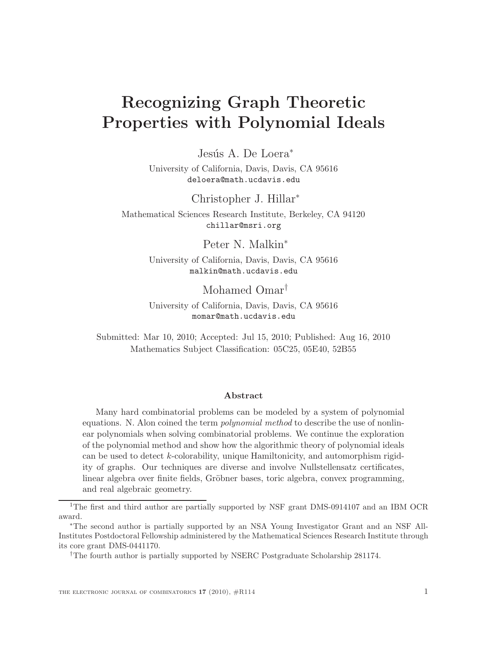# Recognizing Graph Theoretic Properties with Polynomial Ideals

Jesús A. De Loera<sup>\*</sup>

University of California, Davis, Davis, CA 95616 deloera@math.ucdavis.edu

Christopher J. Hillar<sup>∗</sup>

Mathematical Sciences Research Institute, Berkeley, CA 94120 chillar@msri.org

Peter N. Malkin<sup>∗</sup>

University of California, Davis, Davis, CA 95616 malkin@math.ucdavis.edu

Mohamed Omar†

University of California, Davis, Davis, CA 95616 momar@math.ucdavis.edu

Submitted: Mar 10, 2010; Accepted: Jul 15, 2010; Published: Aug 16, 2010 Mathematics Subject Classification: 05C25, 05E40, 52B55

#### Abstract

Many hard combinatorial problems can be modeled by a system of polynomial equations. N. Alon coined the term polynomial method to describe the use of nonlinear polynomials when solving combinatorial problems. We continue the exploration of the polynomial method and show how the algorithmic theory of polynomial ideals can be used to detect k-colorability, unique Hamiltonicity, and automorphism rigidity of graphs. Our techniques are diverse and involve Nullstellensatz certificates, linear algebra over finite fields, Gröbner bases, toric algebra, convex programming, and real algebraic geometry.

<sup>1</sup>The first and third author are partially supported by NSF grant DMS-0914107 and an IBM OCR award.

<sup>∗</sup>The second author is partially supported by an NSA Young Investigator Grant and an NSF All-Institutes Postdoctoral Fellowship administered by the Mathematical Sciences Research Institute through its core grant DMS-0441170.

<sup>†</sup>The fourth author is partially supported by NSERC Postgraduate Scholarship 281174.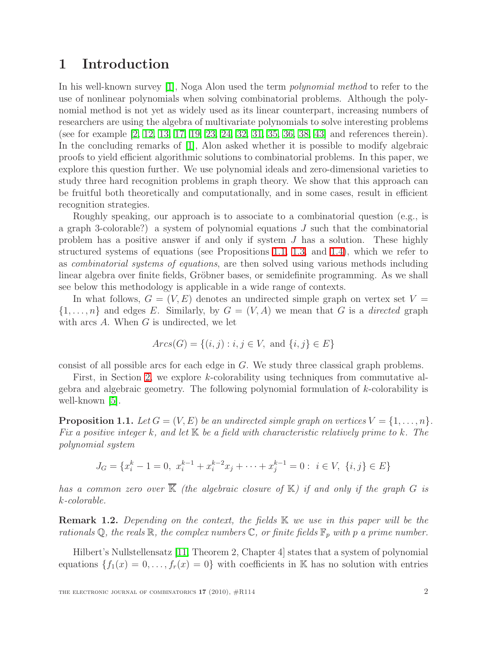### 1 Introduction

In his well-known survey [\[1\]](#page-22-0), Noga Alon used the term *polynomial method* to refer to the use of nonlinear polynomials when solving combinatorial problems. Although the polynomial method is not yet as widely used as its linear counterpart, increasing numbers of researchers are using the algebra of multivariate polynomials to solve interesting problems (see for example [\[2,](#page-22-1) [12,](#page-23-0) [13,](#page-23-1) [17,](#page-23-2) [19,](#page-24-0) [23,](#page-24-1) [24,](#page-24-2) [32,](#page-24-3) [31,](#page-24-4) [35,](#page-24-5) [36,](#page-24-6) [38,](#page-25-0) [43\]](#page-25-1) and references therein). In the concluding remarks of [\[1\]](#page-22-0), Alon asked whether it is possible to modify algebraic proofs to yield efficient algorithmic solutions to combinatorial problems. In this paper, we explore this question further. We use polynomial ideals and zero-dimensional varieties to study three hard recognition problems in graph theory. We show that this approach can be fruitful both theoretically and computationally, and in some cases, result in efficient recognition strategies.

Roughly speaking, our approach is to associate to a combinatorial question (e.g., is a graph 3-colorable?) a system of polynomial equations  $J$  such that the combinatorial problem has a positive answer if and only if system J has a solution. These highly structured systems of equations (see Propositions [1.1,](#page-1-0) [1.3,](#page-2-0) and [1.4\)](#page-3-0), which we refer to as combinatorial systems of equations, are then solved using various methods including linear algebra over finite fields, Gröbner bases, or semidefinite programming. As we shall see below this methodology is applicable in a wide range of contexts.

In what follows,  $G = (V, E)$  denotes an undirected simple graph on vertex set  $V =$  $\{1,\ldots,n\}$  and edges E. Similarly, by  $G = (V, A)$  we mean that G is a *directed* graph with arcs  $A$ . When  $G$  is undirected, we let

$$
Arcs(G) = \{(i, j) : i, j \in V, \text{ and } \{i, j\} \in E\}
$$

consist of all possible arcs for each edge in G. We study three classical graph problems.

First, in Section [2,](#page-4-0) we explore k-colorability using techniques from commutative algebra and algebraic geometry. The following polynomial formulation of k-colorability is well-known [\[5\]](#page-23-3).

<span id="page-1-0"></span>**Proposition 1.1.** Let  $G = (V, E)$  be an undirected simple graph on vertices  $V = \{1, \ldots, n\}$ . Fix a positive integer k, and let  $K$  be a field with characteristic relatively prime to k. The polynomial system

$$
J_G = \{x_i^k - 1 = 0, \ x_i^{k-1} + x_i^{k-2}x_j + \dots + x_j^{k-1} = 0 : \ i \in V, \ \{i, j\} \in E\}
$$

has a common zero over  $\overline{\mathbb{K}}$  (the algebraic closure of  $\mathbb{K}$ ) if and only if the graph G is k-colorable.

**Remark 1.2.** Depending on the context, the fields K we use in this paper will be the rationals  $\mathbb{Q}$ , the reals  $\mathbb{R}$ , the complex numbers  $\mathbb{C}$ , or finite fields  $\mathbb{F}_p$  with p a prime number.

Hilbert's Nullstellensatz [\[11,](#page-23-4) Theorem 2, Chapter 4] states that a system of polynomial equations  $\{f_1(x) = 0, \ldots, f_r(x) = 0\}$  with coefficients in K has no solution with entries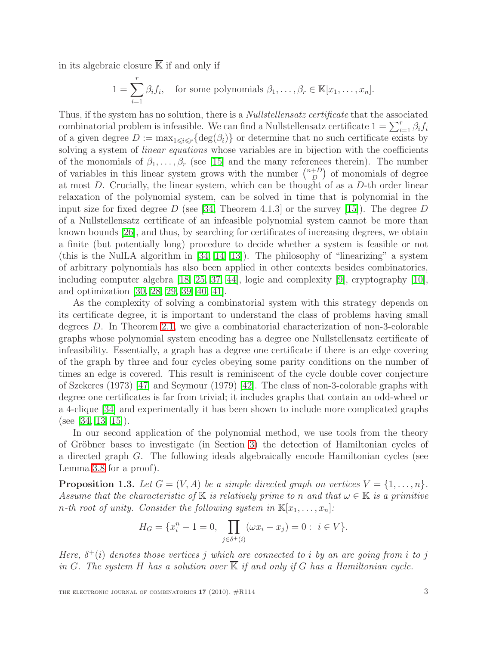in its algebraic closure  $\overline{\mathbb{K}}$  if and only if

$$
1 = \sum_{i=1}^{r} \beta_i f_i, \text{ for some polynomials } \beta_1, \dots, \beta_r \in \mathbb{K}[x_1, \dots, x_n].
$$

Thus, if the system has no solution, there is a *Nullstellensatz certificate* that the associated combinatorial problem is infeasible. We can find a Nullstellensatz certificate  $1 = \sum_{i=1}^{r} \beta_i f_i$ of a given degree  $D := \max_{1 \leq i \leq r} \{ \deg(\beta_i) \}$  or determine that no such certificate exists by solving a system of *linear equations* whose variables are in bijection with the coefficients of the monomials of  $\beta_1, \ldots, \beta_r$  (see [\[15\]](#page-23-5) and the many references therein). The number of variables in this linear system grows with the number  $\binom{n+D}{D}$  $\binom{+D}{D}$  of monomials of degree at most D. Crucially, the linear system, which can be thought of as a D-th order linear relaxation of the polynomial system, can be solved in time that is polynomial in the input size for fixed degree D (see [\[34,](#page-24-7) Theorem 4.1.3] or the survey [\[15\]](#page-23-5)). The degree D of a Nullstellensatz certificate of an infeasible polynomial system cannot be more than known bounds [\[26\]](#page-24-8), and thus, by searching for certificates of increasing degrees, we obtain a finite (but potentially long) procedure to decide whether a system is feasible or not (this is the NulLA algorithm in [\[34,](#page-24-7) [14,](#page-23-6) [13\]](#page-23-1)). The philosophy of "linearizing" a system of arbitrary polynomials has also been applied in other contexts besides combinatorics, including computer algebra [\[18,](#page-23-7) [25,](#page-24-9) [37,](#page-24-10) [44\]](#page-25-2), logic and complexity [\[9\]](#page-23-8), cryptography [\[10\]](#page-23-9), and optimization [\[30,](#page-24-11) [28,](#page-24-12) [29,](#page-24-13) [39,](#page-25-3) [40,](#page-25-4) [41\]](#page-25-5).

As the complexity of solving a combinatorial system with this strategy depends on its certificate degree, it is important to understand the class of problems having small degrees D. In Theorem [2.1,](#page-4-1) we give a combinatorial characterization of non-3-colorable graphs whose polynomial system encoding has a degree one Nullstellensatz certificate of infeasibility. Essentially, a graph has a degree one certificate if there is an edge covering of the graph by three and four cycles obeying some parity conditions on the number of times an edge is covered. This result is reminiscent of the cycle double cover conjecture of Szekeres (1973) [\[47\]](#page-25-6) and Seymour (1979) [\[42\]](#page-25-7). The class of non-3-colorable graphs with degree one certificates is far from trivial; it includes graphs that contain an odd-wheel or a 4-clique [\[34\]](#page-24-7) and experimentally it has been shown to include more complicated graphs (see [\[34,](#page-24-7) [13,](#page-23-1) [15\]](#page-23-5)).

In our second application of the polynomial method, we use tools from the theory of Gröbner bases to investigate (in Section [3\)](#page-10-0) the detection of Hamiltonian cycles of a directed graph G. The following ideals algebraically encode Hamiltonian cycles (see Lemma [3.8](#page-13-0) for a proof).

<span id="page-2-0"></span>**Proposition 1.3.** Let  $G = (V, A)$  be a simple directed graph on vertices  $V = \{1, \ldots, n\}$ . Assume that the characteristic of K is relatively prime to n and that  $\omega \in \mathbb{K}$  is a primitive n-th root of unity. Consider the following system in  $\mathbb{K}[x_1, \ldots, x_n]$ :

$$
H_G = \{x_i^n - 1 = 0, \prod_{j \in \delta^+(i)} (\omega x_i - x_j) = 0 : i \in V\}.
$$

Here,  $\delta^+(i)$  denotes those vertices j which are connected to i by an arc going from i to j in G. The system H has a solution over  $\overline{\mathbb{K}}$  if and only if G has a Hamiltonian cycle.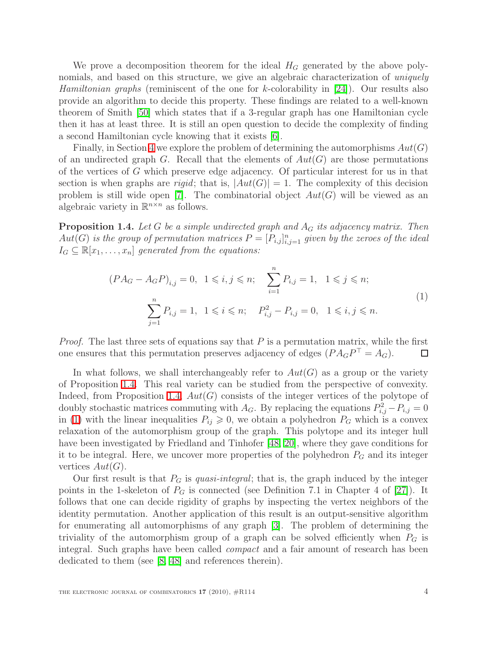We prove a decomposition theorem for the ideal  $H_G$  generated by the above polynomials, and based on this structure, we give an algebraic characterization of *uniquely* Hamiltonian graphs (reminiscent of the one for k-colorability in [\[24\]](#page-24-2)). Our results also provide an algorithm to decide this property. These findings are related to a well-known theorem of Smith [\[50\]](#page-25-8) which states that if a 3-regular graph has one Hamiltonian cycle then it has at least three. It is still an open question to decide the complexity of finding a second Hamiltonian cycle knowing that it exists [\[6\]](#page-23-10).

Finally, in Section [4](#page-15-0) we explore the problem of determining the automorphisms  $Aut(G)$ of an undirected graph G. Recall that the elements of  $Aut(G)$  are those permutations of the vertices of G which preserve edge adjacency. Of particular interest for us in that section is when graphs are *rigid*; that is,  $|Aut(G)| = 1$ . The complexity of this decision problem is still wide open [\[7\]](#page-23-11). The combinatorial object  $Aut(G)$  will be viewed as an algebraic variety in  $\mathbb{R}^{n \times n}$  as follows.

<span id="page-3-1"></span><span id="page-3-0"></span>**Proposition 1.4.** Let G be a simple undirected graph and  $A_G$  its adjacency matrix. Then  $Aut(G)$  is the group of permutation matrices  $P = [P_{i,j}]_{i,j=1}^n$  given by the zeroes of the ideal  $I_G \subseteq \mathbb{R}[x_1,\ldots,x_n]$  generated from the equations:

$$
(PA_G - A_G P)_{i,j} = 0, \ 1 \le i, j \le n; \quad \sum_{i=1}^n P_{i,j} = 1, \ 1 \le j \le n; \sum_{j=1}^n P_{i,j} = 1, \ 1 \le i \le n; \quad P_{i,j}^2 - P_{i,j} = 0, \ 1 \le i, j \le n.
$$
\n
$$
(1)
$$

*Proof.* The last three sets of equations say that  $P$  is a permutation matrix, while the first one ensures that this permutation preserves adjacency of edges  $(P A_G P<sup>T</sup> = A_G)$ . □

In what follows, we shall interchangeably refer to  $Aut(G)$  as a group or the variety of Proposition [1.4.](#page-3-0) This real variety can be studied from the perspective of convexity. Indeed, from Proposition [1.4,](#page-3-0)  $Aut(G)$  consists of the integer vertices of the polytope of doubly stochastic matrices commuting with  $A_G$ . By replacing the equations  $P_{i,j}^2 - P_{i,j} = 0$ in [\(1\)](#page-3-1) with the linear inequalities  $P_{ij} \geq 0$ , we obtain a polyhedron  $P_G$  which is a convex relaxation of the automorphism group of the graph. This polytope and its integer hull have been investigated by Friedland and Tinhofer [\[48,](#page-25-9) [20\]](#page-24-14), where they gave conditions for it to be integral. Here, we uncover more properties of the polyhedron  $P_G$  and its integer vertices  $Aut(G)$ .

Our first result is that  $P_G$  is *quasi-integral*; that is, the graph induced by the integer points in the 1-skeleton of  $P_G$  is connected (see Definition 7.1 in Chapter 4 of [\[27\]](#page-24-15)). It follows that one can decide rigidity of graphs by inspecting the vertex neighbors of the identity permutation. Another application of this result is an output-sensitive algorithm for enumerating all automorphisms of any graph [\[3\]](#page-22-2). The problem of determining the triviality of the automorphism group of a graph can be solved efficiently when  $P_G$  is integral. Such graphs have been called compact and a fair amount of research has been dedicated to them (see [\[8,](#page-23-12) [48\]](#page-25-9) and references therein).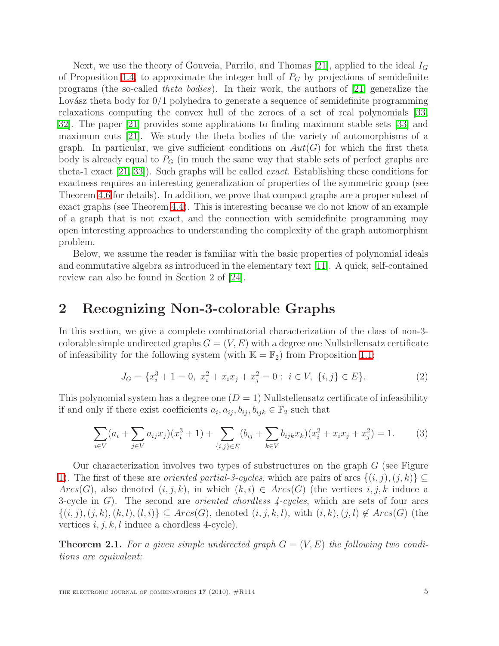Next, we use the theory of Gouveia, Parrilo, and Thomas [\[21\]](#page-24-16), applied to the ideal  $I_G$ of Proposition [1.4,](#page-3-0) to approximate the integer hull of  $P_G$  by projections of semidefinite programs (the so-called theta bodies). In their work, the authors of [\[21\]](#page-24-16) generalize the Lovász theta body for  $0/1$  polyhedra to generate a sequence of semidefinite programming relaxations computing the convex hull of the zeroes of a set of real polynomials [\[33,](#page-24-17) [32\]](#page-24-3). The paper [\[21\]](#page-24-16) provides some applications to finding maximum stable sets [\[33\]](#page-24-17) and maximum cuts [\[21\]](#page-24-16). We study the theta bodies of the variety of automorphisms of a graph. In particular, we give sufficient conditions on  $Aut(G)$  for which the first theta body is already equal to  $P_G$  (in much the same way that stable sets of perfect graphs are theta-1 exact [\[21,](#page-24-16) [33\]](#page-24-17)). Such graphs will be called exact. Establishing these conditions for exactness requires an interesting generalization of properties of the symmetric group (see Theorem [4.6](#page-20-0) for details). In addition, we prove that compact graphs are a proper subset of exact graphs (see Theorem [4.4\)](#page-17-0). This is interesting because we do not know of an example of a graph that is not exact, and the connection with semidefinite programming may open interesting approaches to understanding the complexity of the graph automorphism problem.

Below, we assume the reader is familiar with the basic properties of polynomial ideals and commutative algebra as introduced in the elementary text [\[11\]](#page-23-4). A quick, self-contained review can also be found in Section 2 of [\[24\]](#page-24-2).

#### <span id="page-4-0"></span>2 Recognizing Non-3-colorable Graphs

In this section, we give a complete combinatorial characterization of the class of non-3 colorable simple undirected graphs  $G = (V, E)$  with a degree one Nullstellensatz certificate of infeasibility for the following system (with  $\mathbb{K} = \mathbb{F}_2$ ) from Proposition [1.1:](#page-1-0)

$$
J_G = \{x_i^3 + 1 = 0, \ x_i^2 + x_i x_j + x_j^2 = 0 : \ i \in V, \ \{i, j\} \in E\}.
$$
 (2)

<span id="page-4-2"></span>This polynomial system has a degree one  $(D = 1)$  Nullstellensatz certificate of infeasibility if and only if there exist coefficients  $a_i, a_{ij}, b_{ij}, b_{ijk} \in \mathbb{F}_2$  such that

$$
\sum_{i \in V} (a_i + \sum_{j \in V} a_{ij} x_j)(x_i^3 + 1) + \sum_{\{i,j\} \in E} (b_{ij} + \sum_{k \in V} b_{ijk} x_k)(x_i^2 + x_i x_j + x_j^2) = 1.
$$
 (3)

Our characterization involves two types of substructures on the graph  $G$  (see Figure [1\)](#page-5-0). The first of these are *oriented partial-3-cycles*, which are pairs of arcs  $\{(i, j), (j, k)\}\subseteq$  $Arcs(G)$ , also denoted  $(i, j, k)$ , in which  $(k, i) \in Arcs(G)$  (the vertices  $i, j, k$  induce a 3-cycle in  $G$ ). The second are *oriented chordless 4-cycles*, which are sets of four arcs  $\{(i,j),(j,k),(k,l),(l,i)\}\subseteq Arcs(G),$  denoted  $(i,j,k,l)$ , with  $(i,k),(j,l)\notin Arcs(G)$  (the vertices  $i, j, k, l$  induce a chordless 4-cycle).

<span id="page-4-1"></span>**Theorem 2.1.** For a given simple undirected graph  $G = (V, E)$  the following two conditions are equivalent: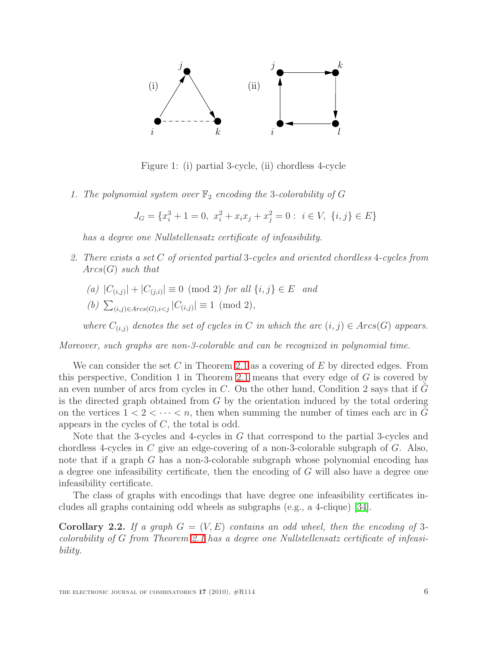

<span id="page-5-0"></span>Figure 1: (i) partial 3-cycle, (ii) chordless 4-cycle

1. The polynomial system over  $\mathbb{F}_2$  encoding the 3-colorability of G

 $J_G = \{x_i^3 + 1 = 0, \ x_i^2 + x_i x_j + x_j^2 = 0 : \ i \in V, \ \{i, j\} \in E\}$ 

has a degree one Nullstellensatz certificate of infeasibility.

- 2. There exists a set C of oriented partial 3-cycles and oriented chordless 4-cycles from  $Arcs(G)$  such that
	- $(a) |C_{(i,j)}| + |C_{(j,i)}| \equiv 0 \pmod{2}$  for all  $\{i, j\} \in E$  and
	- (b)  $\sum_{(i,j)\in Arcs(G),i,$

where  $C_{(i,j)}$  denotes the set of cycles in C in which the arc  $(i,j) \in Arcs(G)$  appears.

Moreover, such graphs are non-3-colorable and can be recognized in polynomial time.

We can consider the set C in Theorem [2.1](#page-4-1) as a covering of E by directed edges. From this perspective, Condition 1 in Theorem [2.1](#page-4-1) means that every edge of G is covered by an even number of arcs from cycles in  $C$ . On the other hand, Condition 2 says that if  $G$ is the directed graph obtained from  $G$  by the orientation induced by the total ordering on the vertices  $1 < 2 < \cdots < n$ , then when summing the number of times each arc in G appears in the cycles of  $C$ , the total is odd.

Note that the 3-cycles and 4-cycles in G that correspond to the partial 3-cycles and chordless 4-cycles in C give an edge-covering of a non-3-colorable subgraph of G. Also, note that if a graph G has a non-3-colorable subgraph whose polynomial encoding has a degree one infeasibility certificate, then the encoding of G will also have a degree one infeasibility certificate.

<span id="page-5-1"></span>The class of graphs with encodings that have degree one infeasibility certificates includes all graphs containing odd wheels as subgraphs (e.g., a 4-clique) [\[34\]](#page-24-7).

**Corollary 2.2.** If a graph  $G = (V, E)$  contains an odd wheel, then the encoding of 3colorability of G from Theorem [2.1](#page-4-1) has a degree one Nullstellensatz certificate of infeasibility.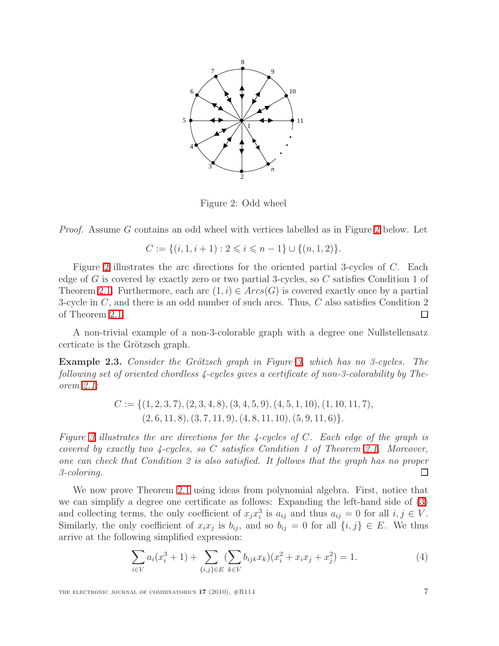

Figure 2: Odd wheel

Proof. Assume G contains an odd wheel with vertices labelled as in Figure [2](#page-5-1) below. Let

$$
C := \{(i, 1, i+1) : 2 \leq i \leq n-1\} \cup \{(n, 1, 2)\}.
$$

Figure [2](#page-5-1) illustrates the arc directions for the oriented partial 3-cycles of  $C$ . Each edge of G is covered by exactly zero or two partial 3-cycles, so C satisfies Condition 1 of Theorem [2.1.](#page-4-1) Furthermore, each arc  $(1, i) \in Arcs(G)$  is covered exactly once by a partial 3-cycle in  $C$ , and there is an odd number of such arcs. Thus,  $C$  also satisfies Condition 2 of Theorem [2.1.](#page-4-1) □

A non-trivial example of a non-3-colorable graph with a degree one Nullstellensatz certicate is the Grötzsch graph.

**Example 2.3.** Consider the Grötzsch graph in Figure [3,](#page-7-0) which has no 3-cycles. The following set of oriented chordless 4-cycles gives a certificate of non-3-colorability by Theorem [2.1:](#page-4-1)

$$
C := \{ (1, 2, 3, 7), (2, 3, 4, 8), (3, 4, 5, 9), (4, 5, 1, 10), (1, 10, 11, 7), (2, 6, 11, 8), (3, 7, 11, 9), (4, 8, 11, 10), (5, 9, 11, 6) \}.
$$

Figure [3](#page-7-0) illustrates the arc directions for the 4-cycles of  $C$ . Each edge of the graph is covered by exactly two  $\lambda$ -cycles, so C satisfies Condition 1 of Theorem [2.1.](#page-4-1) Moreover, one can check that Condition 2 is also satisfied. It follows that the graph has no proper 3-coloring.  $\Box$ 

We now prove Theorem [2.1](#page-4-1) using ideas from polynomial algebra. First, notice that we can simplify a degree one certificate as follows: Expanding the left-hand side of [\(3\)](#page-4-2) and collecting terms, the only coefficient of  $x_j x_i^3$  is  $a_{ij}$  and thus  $a_{ij} = 0$  for all  $i, j \in V$ . Similarly, the only coefficient of  $x_i x_j$  is  $b_{ij}$ , and so  $b_{ij} = 0$  for all  $\{i, j\} \in E$ . We thus arrive at the following simplified expression:

$$
\sum_{i \in V} a_i (x_i^3 + 1) + \sum_{\{i,j\} \in E} (\sum_{k \in V} b_{ijk} x_k)(x_i^2 + x_i x_j + x_j^2) = 1.
$$
 (4)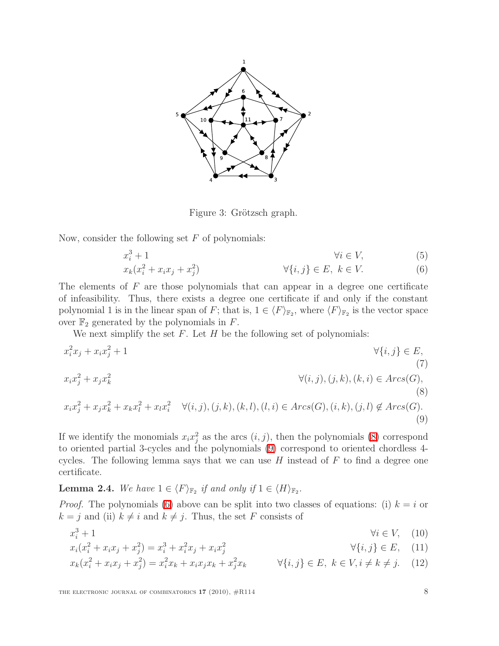

<span id="page-7-6"></span><span id="page-7-3"></span><span id="page-7-2"></span><span id="page-7-1"></span><span id="page-7-0"></span>Figure 3: Grötzsch graph.

Now, consider the following set  $F$  of polynomials:

$$
x_i^3 + 1 \qquad \qquad \forall i \in V,
$$
\n
$$
x_k(x_i^2 + x_i x_j + x_j^2) \qquad \qquad \forall \{i, j\} \in E, \ k \in V.
$$
\n(5)

The elements of  $F$  are those polynomials that can appear in a degree one certificate of infeasibility. Thus, there exists a degree one certificate if and only if the constant polynomial 1 is in the linear span of F; that is,  $1 \in \langle F \rangle_{\mathbb{F}_2}$ , where  $\langle F \rangle_{\mathbb{F}_2}$  is the vector space over  $\mathbb{F}_2$  generated by the polynomials in F.

We next simplify the set  $F$ . Let  $H$  be the following set of polynomials:

$$
x_i^2 x_j + x_i x_j^2 + 1
$$
  
\n
$$
x_i x_j^2 + x_j x_k^2
$$
  
\n
$$
x_i x_j^2 + x_j x_k^2
$$
  
\n
$$
x_i x_j^2 + x_j x_k^2 + x_k x_l^2 + x_l x_i^2
$$
  
\n
$$
\forall (i, j), (j, k), (k, i) \in Arcs(G), (i, k), (j, l) \notin Arcs(G).
$$
  
\n(8)  
\n(9)

If we identify the monomials  $x_i x_j^2$  as the arcs  $(i, j)$ , then the polynomials [\(8\)](#page-7-1) correspond to oriented partial 3-cycles and the polynomials [\(9\)](#page-7-2) correspond to oriented chordless 4 cycles. The following lemma says that we can use  $H$  instead of  $F$  to find a degree one certificate.

<span id="page-7-7"></span>**Lemma 2.4.** We have  $1 \in \langle F \rangle_{\mathbb{F}_2}$  if and only if  $1 \in \langle H \rangle_{\mathbb{F}_2}$ .

*Proof.* The polynomials [\(6\)](#page-7-3) above can be split into two classes of equations: (i)  $k = i$  or  $k = j$  and (ii)  $k \neq i$  and  $k \neq j$ . Thus, the set F consists of

<span id="page-7-5"></span><span id="page-7-4"></span>
$$
x_i^3 + 1 \qquad \qquad \forall i \in V, \quad (10)
$$

$$
x_i(x_i^2 + x_i x_j + x_j^2) = x_i^3 + x_i^2 x_j + x_i x_j^2
$$
\n
$$
\forall \{i, j\} \in E, \quad (11)
$$

$$
x_k(x_i^2 + x_i x_j + x_j^2) = x_i^2 x_k + x_i x_j x_k + x_j^2 x_k \qquad \forall \{i, j\} \in E, \ k \in V, i \neq k \neq j. \tag{12}
$$

THE ELECTRONIC JOURNAL OF COMBINATORICS  $17$  (2010),  $\#R114$  8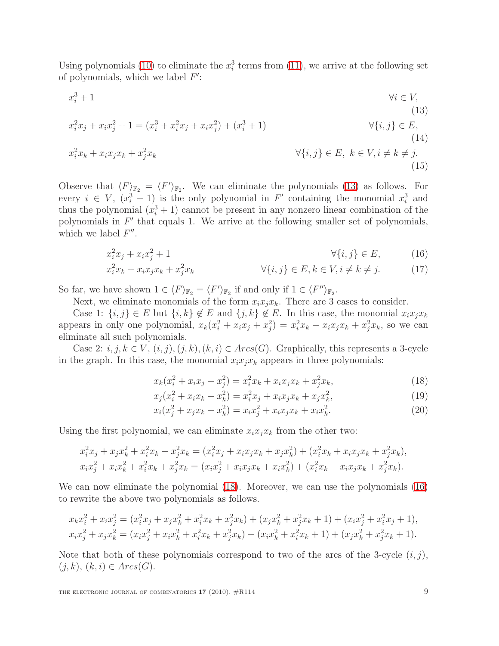Using polynomials [\(10\)](#page-7-4) to eliminate the  $x_i^3$  terms from [\(11\)](#page-7-5), we arrive at the following set of polynomials, which we label  $F'$ :

<span id="page-8-0"></span>
$$
x_i^3 + 1 \t\t\t\t\t\forall i \in V,
$$
  
\n
$$
x_i^2 x_j + x_i x_j^2 + 1 = (x_i^3 + x_i^2 x_j + x_i x_j^2) + (x_i^3 + 1)
$$
  
\n
$$
x_i^2 x_k + x_i x_j x_k + x_j^2 x_k
$$
  
\n
$$
\forall \{i, j\} \in E, \ k \in V, i \neq k \neq j.
$$
  
\n(14)  
\n(15)

Observe that  $\langle F \rangle_{\mathbb{F}_2} = \langle F' \rangle_{\mathbb{F}_2}$ . We can eliminate the polynomials [\(13\)](#page-8-0) as follows. For every  $i \in V$ ,  $(x_i^3 + 1)$  is the only polynomial in F' containing the monomial  $x_i^3$  and thus the polynomial  $(x_i^3 + 1)$  cannot be present in any nonzero linear combination of the polynomials in  $F'$  that equals 1. We arrive at the following smaller set of polynomials, which we label  $F''$ .

$$
x_i^2 x_j + x_i x_j^2 + 1 \qquad \qquad \forall \{i, j\} \in E,\tag{16}
$$

$$
x_i^2 x_k + x_i x_j x_k + x_j^2 x_k \qquad \qquad \forall \{i, j\} \in E, k \in V, i \neq k \neq j. \tag{17}
$$

So far, we have shown  $1 \in \langle F \rangle_{\mathbb{F}_2} = \langle F' \rangle_{\mathbb{F}_2}$  if and only if  $1 \in \langle F'' \rangle_{\mathbb{F}_2}$ .

Next, we eliminate monomials of the form  $x_i x_j x_k$ . There are 3 cases to consider.

Case 1:  $\{i, j\} \in E$  but  $\{i, k\} \notin E$  and  $\{j, k\} \notin E$ . In this case, the monomial  $x_i x_j x_k$ appears in only one polynomial,  $x_k(x_i^2 + x_i x_j + x_j^2) = x_i^2 x_k + x_i x_j x_k + x_j^2 x_k$ , so we can eliminate all such polynomials.

Case 2:  $i, j, k \in V$ ,  $(i, j), (j, k), (k, i) \in Arcs(G)$ . Graphically, this represents a 3-cycle in the graph. In this case, the monomial  $x_i x_j x_k$  appears in three polynomials:

<span id="page-8-2"></span><span id="page-8-1"></span>
$$
x_k(x_i^2 + x_i x_j + x_j^2) = x_i^2 x_k + x_i x_j x_k + x_j^2 x_k,
$$
\n(18)

$$
x_j(x_i^2 + x_ix_k + x_k^2) = x_i^2x_j + x_ix_jx_k + x_jx_k^2,
$$
\n(19)

$$
x_i(x_j^2 + x_j x_k + x_k^2) = x_i x_j^2 + x_i x_j x_k + x_i x_k^2.
$$
 (20)

Using the first polynomial, we can eliminate  $x_i x_j x_k$  from the other two:

$$
x_i^2 x_j + x_j x_k^2 + x_i^2 x_k + x_j^2 x_k = (x_i^2 x_j + x_i x_j x_k + x_j x_k^2) + (x_i^2 x_k + x_i x_j x_k + x_j^2 x_k),
$$
  
\n
$$
x_i x_j^2 + x_i x_k^2 + x_i^2 x_k + x_j^2 x_k = (x_i x_j^2 + x_i x_j x_k + x_i x_k^2) + (x_i^2 x_k + x_i x_j x_k + x_j^2 x_k).
$$

We can now eliminate the polynomial [\(18\)](#page-8-1). Moreover, we can use the polynomials [\(16\)](#page-8-2) to rewrite the above two polynomials as follows.

$$
x_k x_i^2 + x_i x_j^2 = (x_i^2 x_j + x_j x_k^2 + x_i^2 x_k + x_j^2 x_k) + (x_j x_k^2 + x_j^2 x_k + 1) + (x_i x_j^2 + x_i^2 x_j + 1),
$$
  
\n
$$
x_i x_j^2 + x_j x_k^2 = (x_i x_j^2 + x_i x_k^2 + x_i^2 x_k + x_j^2 x_k) + (x_i x_k^2 + x_i^2 x_k + 1) + (x_j x_k^2 + x_j^2 x_k + 1).
$$

Note that both of these polynomials correspond to two of the arcs of the 3-cycle  $(i, j)$ ,  $(j, k), (k, i) \in Arcs(G).$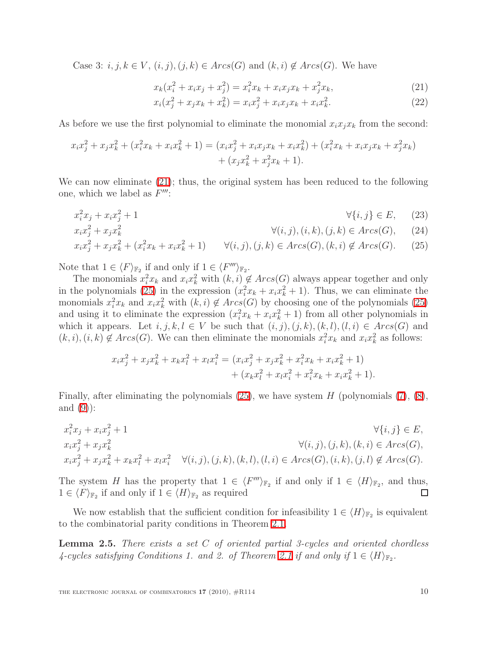Case 3:  $i, j, k \in V$ ,  $(i, j), (j, k) \in Arcs(G)$  and  $(k, i) \notin Arcs(G)$ . We have

<span id="page-9-0"></span>
$$
x_k(x_i^2 + x_i x_j + x_j^2) = x_i^2 x_k + x_i x_j x_k + x_j^2 x_k,
$$
\n(21)

<span id="page-9-1"></span>
$$
x_i(x_j^2 + x_j x_k + x_k^2) = x_i x_j^2 + x_i x_j x_k + x_i x_k^2.
$$
 (22)

As before we use the first polynomial to eliminate the monomial  $x_i x_j x_k$  from the second:

$$
x_i x_j^2 + x_j x_k^2 + (x_i^2 x_k + x_i x_k^2 + 1) = (x_i x_j^2 + x_i x_j x_k + x_i x_k^2) + (x_i^2 x_k + x_i x_j x_k + x_j^2 x_k) + (x_j x_k^2 + x_j^2 x_k + 1).
$$

We can now eliminate  $(21)$ ; thus, the original system has been reduced to the following one, which we label as  $F'''$ :

$$
x_i^2 x_j + x_i x_j^2 + 1 \qquad \qquad \forall \{i, j\} \in E, \qquad (23)
$$

$$
x_i x_j^2 + x_j x_k^2 \qquad \qquad \forall (i, j), (i, k), (j, k) \in Arcs(G), \qquad (24)
$$

$$
x_i x_j^2 + x_j x_k^2 + (x_i^2 x_k + x_i x_k^2 + 1) \qquad \forall (i, j), (j, k) \in Arcs(G), (k, i) \notin Arcs(G). \tag{25}
$$

Note that  $1 \in \langle F \rangle_{\mathbb{F}_2}$  if and only if  $1 \in \langle F''' \rangle_{\mathbb{F}_2}$ .

The monomials  $x_i^2 x_k$  and  $x_i x_k^2$  with  $(k, i) \notin Arcs(G)$  always appear together and only in the polynomials [\(25\)](#page-9-1) in the expression  $(x_i^2 x_k + x_i x_k^2 + 1)$ . Thus, we can eliminate the monomials  $x_i^2 x_k$  and  $x_i x_k^2$  with  $(k, i) \notin Arcs(G)$  by choosing one of the polynomials [\(25\)](#page-9-1) and using it to eliminate the expression  $(x_i^2 x_k + x_i x_k^2 + 1)$  from all other polynomials in which it appears. Let  $i, j, k, l \in V$  be such that  $(i, j), (j, k), (k, l), (l, i) \in Arcs(G)$  and  $(k, i), (i, k) \notin Arcs(G)$ . We can then eliminate the monomials  $x_i^2 x_k$  and  $x_i x_k^2$  as follows:

$$
x_i x_j^2 + x_j x_k^2 + x_k x_l^2 + x_l x_i^2 = (x_i x_j^2 + x_j x_k^2 + x_i^2 x_k + x_i x_k^2 + 1) + (x_k x_l^2 + x_l x_i^2 + x_i^2 x_k + x_i x_k^2 + 1).
$$

Finally, after eliminating the polynomials  $(25)$ , we have system H (polynomials  $(7)$ ,  $(8)$ , and  $(9)$ :

$$
x_i^2 x_j + x_i x_j^2 + 1 \qquad \forall \{i, j\} \in E,
$$
  
\n
$$
x_i x_j^2 + x_j x_k^2 \qquad \forall (i, j), (j, k), (k, l), (l, i) \in Arcs(G),
$$
  
\n
$$
x_i x_j^2 + x_j x_k^2 + x_k x_l^2 + x_l x_i^2 \qquad \forall (i, j), (j, k), (k, l), (l, i) \in Arcs(G), (i, k), (j, l) \notin Arcs(G).
$$

The system H has the property that  $1 \in \langle F'''\rangle_{\mathbb{F}_2}$  if and only if  $1 \in \langle H\rangle_{\mathbb{F}_2}$ , and thus,  $1 \in \langle F \rangle_{\mathbb{F}_2}$  if and only if  $1 \in \langle H \rangle_{\mathbb{F}_2}$  as required

<span id="page-9-2"></span>We now establish that the sufficient condition for infeasibility  $1 \in \langle H \rangle_{\mathbb{F}_2}$  is equivalent to the combinatorial parity conditions in Theorem [2.1.](#page-4-1)

**Lemma 2.5.** There exists a set  $C$  of oriented partial 3-cycles and oriented chordless  $4$ -cycles satisfying Conditions 1. and 2. of Theorem [2.1](#page-4-1) if and only if  $1 \in \langle H \rangle_{\mathbb{F}_2}$ .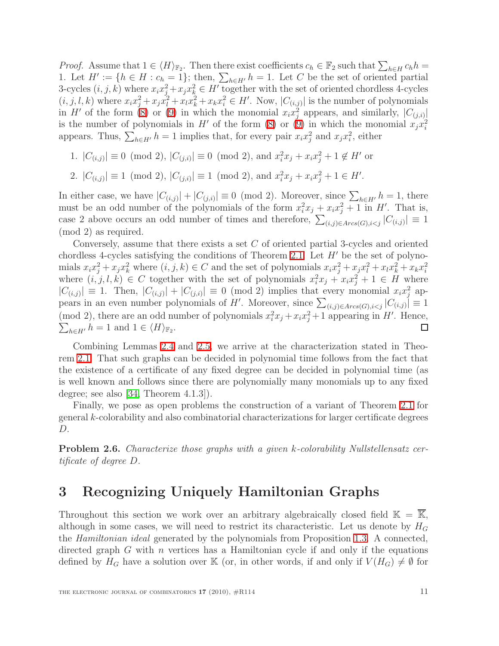*Proof.* Assume that  $1 \in \langle H \rangle_{\mathbb{F}_2}$ . Then there exist coefficients  $c_h \in \mathbb{F}_2$  such that  $\sum_{h \in H} c_h h =$ 1. Let  $H' := \{h \in H : c_h = 1\}$ ; then,  $\sum_{h \in H'} h = 1$ . Let C be the set of oriented partial 3-cycles  $(i, j, k)$  where  $x_i x_j^2 + x_j x_k^2 \in H'$  together with the set of oriented chordless 4-cycles  $(i, j, l, k)$  where  $x_i x_j^2 + x_j x_l^2 + x_l x_k^2 + x_k x_i^2 \in H'$ . Now,  $|C_{(i,j)}|$  is the number of polynomials in H' of the form [\(8\)](#page-7-1) or [\(9\)](#page-7-2) in which the monomial  $x_i x_j^2$  appears, and similarly,  $|C_{(j,i)}|$ is the number of polynomials in  $H'$  of the form [\(8\)](#page-7-1) or [\(9\)](#page-7-2) in which the monomial  $x_j x_i^2$ appears. Thus,  $\sum_{h \in H'} h = 1$  implies that, for every pair  $x_i x_j^2$  and  $x_j x_i^2$ , either

- 1.  $|C_{(i,j)}| \equiv 0 \pmod{2}$ ,  $|C_{(j,i)}| \equiv 0 \pmod{2}$ , and  $x_i^2 x_j + x_i x_j^2 + 1 \notin H'$  or
- 2.  $|C_{(i,j)}| \equiv 1 \pmod{2}, |C_{(j,i)}| \equiv 1 \pmod{2}, \text{ and } x_i^2 x_j + x_i x_j^2 + 1 \in H'.$

In either case, we have  $|C_{(i,j)}| + |C_{(j,i)}| \equiv 0 \pmod{2}$ . Moreover, since  $\sum_{h \in H'} h = 1$ , there must be an odd number of the polynomials of the form  $x_i^2 x_j + x_i x_j^2 + 1$  in H'. That is, case 2 above occurs an odd number of times and therefore,  $\sum_{(i,j)\in Arcs(G),i$ (mod 2) as required.

Conversely, assume that there exists a set  $C$  of oriented partial 3-cycles and oriented chordless 4-cycles satisfying the conditions of Theorem [2.1.](#page-4-1) Let  $H'$  be the set of polynomials  $x_i x_j^2 + x_j x_k^2$  where  $(i, j, k) \in C$  and the set of polynomials  $x_i x_j^2 + x_j x_l^2 + x_l x_k^2 + x_k x_i^2$ where  $(i, j, l, k) \in C$  together with the set of polynomials  $x_i^2 x_j + x_i x_j^2 + 1 \in H$  where  $|C_{(i,j)}| \equiv 1$ . Then,  $|C_{(i,j)}| + |C_{(j,i)}| \equiv 0 \pmod{2}$  implies that every monomial  $x_i x_j^2$  appears in an even number polynomials of H'. Moreover, since  $\sum_{(i,j)\in Arcs(G),i$ (mod 2), there are an odd number of polynomials  $x_i^2 x_j + x_i x_j^2 + 1$  appearing in H'. Hence,  $\sum_{h\in H'} h = 1$  and  $1 \in \langle H \rangle_{\mathbb{F}_2}$ .  $\Box$ 

Combining Lemmas [2.4](#page-7-7) and [2.5,](#page-9-2) we arrive at the characterization stated in Theorem [2.1.](#page-4-1) That such graphs can be decided in polynomial time follows from the fact that the existence of a certificate of any fixed degree can be decided in polynomial time (as is well known and follows since there are polynomially many monomials up to any fixed degree; see also [\[34,](#page-24-7) Theorem 4.1.3]).

Finally, we pose as open problems the construction of a variant of Theorem [2.1](#page-4-1) for general k-colorability and also combinatorial characterizations for larger certificate degrees D.

Problem 2.6. Characterize those graphs with a given k-colorability Nullstellensatz certificate of degree D.

#### <span id="page-10-0"></span>3 Recognizing Uniquely Hamiltonian Graphs

Throughout this section we work over an arbitrary algebraically closed field  $\mathbb{K} = \overline{\mathbb{K}}$ , although in some cases, we will need to restrict its characteristic. Let us denote by  $H_G$ the Hamiltonian ideal generated by the polynomials from Proposition [1.3.](#page-2-0) A connected, directed graph  $G$  with  $n$  vertices has a Hamiltonian cycle if and only if the equations defined by  $H_G$  have a solution over K (or, in other words, if and only if  $V(H_G) \neq \emptyset$  for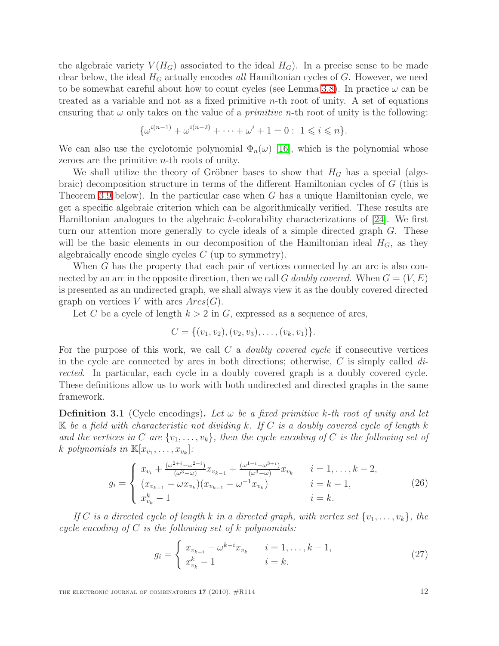the algebraic variety  $V(H_G)$  associated to the ideal  $H_G$ ). In a precise sense to be made clear below, the ideal  $H_G$  actually encodes all Hamiltonian cycles of G. However, we need to be somewhat careful about how to count cycles (see Lemma [3.8\)](#page-13-0). In practice  $\omega$  can be treated as a variable and not as a fixed primitive  $n$ -th root of unity. A set of equations ensuring that  $\omega$  only takes on the value of a *primitive n*-th root of unity is the following:

$$
\{\omega^{i(n-1)} + \omega^{i(n-2)} + \cdots + \omega^i + 1 = 0 : 1 \leq i \leq n\}.
$$

We can also use the cyclotomic polynomial  $\Phi_n(\omega)$  [\[16\]](#page-23-13), which is the polynomial whose zeroes are the primitive n-th roots of unity.

We shall utilize the theory of Gröbner bases to show that  $H_G$  has a special (algebraic) decomposition structure in terms of the different Hamiltonian cycles of G (this is Theorem [3.9](#page-14-0) below). In the particular case when G has a unique Hamiltonian cycle, we get a specific algebraic criterion which can be algorithmically verified. These results are Hamiltonian analogues to the algebraic  $k$ -colorability characterizations of [\[24\]](#page-24-2). We first turn our attention more generally to cycle ideals of a simple directed graph G. These will be the basic elements in our decomposition of the Hamiltonian ideal  $H_G$ , as they algebraically encode single cycles C (up to symmetry).

When G has the property that each pair of vertices connected by an arc is also connected by an arc in the opposite direction, then we call G doubly covered. When  $G = (V, E)$ is presented as an undirected graph, we shall always view it as the doubly covered directed graph on vertices V with arcs  $Arcs(G)$ .

Let C be a cycle of length  $k > 2$  in G, expressed as a sequence of arcs,

$$
C = \{(v_1, v_2), (v_2, v_3), \ldots, (v_k, v_1)\}.
$$

For the purpose of this work, we call  $C$  a *doubly covered cycle* if consecutive vertices in the cycle are connected by arcs in both directions; otherwise, C is simply called  $di$ rected. In particular, each cycle in a doubly covered graph is a doubly covered cycle. These definitions allow us to work with both undirected and directed graphs in the same framework.

**Definition 3.1** (Cycle encodings). Let  $\omega$  be a fixed primitive k-th root of unity and let  $K$  be a field with characteristic not dividing k. If C is a doubly covered cycle of length k and the vertices in C are  $\{v_1, \ldots, v_k\}$ , then the cycle encoding of C is the following set of k polynomials in  $\mathbb{K}[x_{v_1}, \ldots, x_{v_k}]$ :

$$
g_{i} = \begin{cases} x_{v_{i}} + \frac{(\omega^{2+i} - \omega^{2-i})}{(\omega^{3} - \omega)} x_{v_{k-1}} + \frac{(\omega^{1-i} - \omega^{3+i})}{(\omega^{3} - \omega)} x_{v_{k}} & i = 1, \dots, k-2, \\ (x_{v_{k-1}} - \omega x_{v_{k}})(x_{v_{k-1}} - \omega^{-1} x_{v_{k}}) & i = k-1, \\ x_{v_{k}}^{k} - 1 & i = k. \end{cases}
$$
(26)

<span id="page-11-1"></span><span id="page-11-0"></span>If C is a directed cycle of length k in a directed graph, with vertex set  $\{v_1, \ldots, v_k\}$ , the cycle encoding of C is the following set of k polynomials:

$$
g_i = \begin{cases} x_{v_{k-i}} - \omega^{k-i} x_{v_k} & i = 1, ..., k-1, \\ x_{v_k}^k - 1 & i = k. \end{cases}
$$
 (27)

THE ELECTRONIC JOURNAL OF COMBINATORICS  $17$  (2010),  $\#R114$  12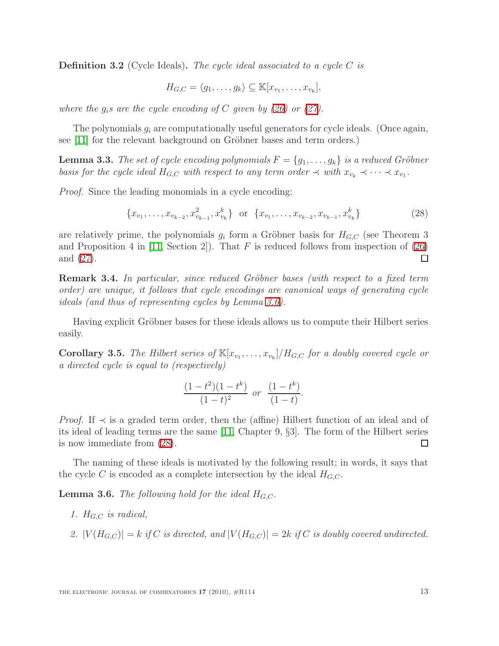**Definition 3.2** (Cycle Ideals). The cycle ideal associated to a cycle  $C$  is

$$
H_{G,C} = \langle g_1, \ldots, g_k \rangle \subseteq \mathbb{K}[x_{v_1}, \ldots, x_{v_k}],
$$

where the  $q_i$ s are the cycle encoding of C given by [\(26\)](#page-11-0) or [\(27\)](#page-11-1).

<span id="page-12-2"></span>The polynomials  $g_i$  are computationally useful generators for cycle ideals. (Once again, see  $[11]$  for the relevant background on Gröbner bases and term orders.)

**Lemma 3.3.** The set of cycle encoding polynomials  $F = \{g_1, \ldots, g_k\}$  is a reduced Gröbner basis for the cycle ideal  $H_{G,C}$  with respect to any term order  $\prec$  with  $x_{v_k} \prec \cdots \prec x_{v_1}$ .

<span id="page-12-1"></span>Proof. Since the leading monomials in a cycle encoding:

$$
\{x_{v_1}, \ldots, x_{v_{k-2}}, x_{v_{k-1}}^2, x_{v_k}^k\} \text{ or } \{x_{v_1}, \ldots, x_{v_{k-2}}, x_{v_{k-1}}, x_{v_k}^k\} \tag{28}
$$

are relatively prime, the polynomials  $g_i$  form a Gröbner basis for  $H_{G,C}$  (see Theorem 3 and Proposition 4 in [\[11,](#page-23-4) Section 2]). That  $F$  is reduced follows from inspection of [\(26\)](#page-11-0) and [\(27\)](#page-11-1).  $\Box$ 

**Remark 3.4.** In particular, since reduced Gröbner bases (with respect to a fixed term order) are unique, it follows that cycle encodings are canonical ways of generating cycle ideals (and thus of representing cycles by Lemma [3.6\)](#page-12-0).

Having explicit Gröbner bases for these ideals allows us to compute their Hilbert series easily.

**Corollary 3.5.** The Hilbert series of  $\mathbb{K}[x_{v_1}, \ldots, x_{v_k}]/H_{G,C}$  for a doubly covered cycle or a directed cycle is equal to (respectively)

$$
\frac{(1-t^2)(1-t^k)}{(1-t)^2} \text{ or } \frac{(1-t^k)}{(1-t)}.
$$

*Proof.* If  $\prec$  is a graded term order, then the (affine) Hilbert function of an ideal and of its ideal of leading terms are the same [\[11,](#page-23-4) Chapter 9, §3]. The form of the Hilbert series is now immediate from  $(28)$ . is now immediate from [\(28\)](#page-12-1).

<span id="page-12-0"></span>The naming of these ideals is motivated by the following result; in words, it says that the cycle C is encoded as a complete intersection by the ideal  $H_{G,C}$ .

**Lemma 3.6.** The following hold for the ideal  $H_{G,C}$ .

- 1.  $H_{G,C}$  is radical,
- 2.  $|V(H_{G,C})| = k$  if C is directed, and  $|V(H_{G,C})| = 2k$  if C is doubly covered undirected.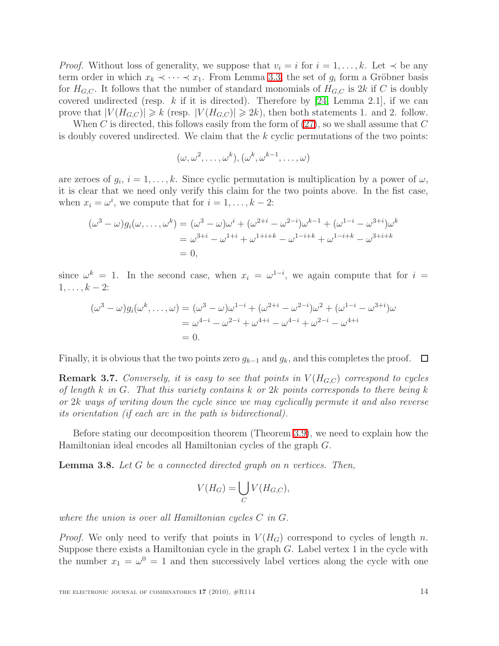*Proof.* Without loss of generality, we suppose that  $v_i = i$  for  $i = 1, \ldots, k$ . Let  $\prec$  be any term order in which  $x_k \prec \cdots \prec x_1$ . From Lemma [3.3,](#page-12-2) the set of  $g_i$  form a Gröbner basis for  $H_{G,C}$ . It follows that the number of standard monomials of  $H_{G,C}$  is 2k if C is doubly covered undirected (resp. k if it is directed). Therefore by [\[24,](#page-24-2) Lemma 2.1], if we can prove that  $|V(H_{G,C})| \geq k$  (resp.  $|V(H_{G,C})| \geq 2k$ ), then both statements 1. and 2. follow.

When C is directed, this follows easily from the form of  $(27)$ , so we shall assume that C is doubly covered undirected. We claim that the  $k$  cyclic permutations of the two points:

$$
(\omega, \omega^2, \dots, \omega^k), (\omega^k, \omega^{k-1}, \dots, \omega)
$$

are zeroes of  $g_i$ ,  $i = 1, \ldots, k$ . Since cyclic permutation is multiplication by a power of  $\omega$ , it is clear that we need only verify this claim for the two points above. In the fist case, when  $x_i = \omega^i$ , we compute that for  $i = 1, \ldots, k - 2$ :

$$
(\omega^3 - \omega)g_i(\omega, ..., \omega^k) = (\omega^3 - \omega)\omega^i + (\omega^{2+i} - \omega^{2-i})\omega^{k-1} + (\omega^{1-i} - \omega^{3+i})\omega^k
$$
  
=  $\omega^{3+i} - \omega^{1+i} + \omega^{1+i+k} - \omega^{1-i+k} + \omega^{1-i+k} - \omega^{3+i+k}$   
= 0,

since  $\omega^k = 1$ . In the second case, when  $x_i = \omega^{1-i}$ , we again compute that for  $i =$  $1, \ldots, k-2$ :

$$
(\omega^3 - \omega)g_i(\omega^k, ..., \omega) = (\omega^3 - \omega)\omega^{1-i} + (\omega^{2+i} - \omega^{2-i})\omega^2 + (\omega^{1-i} - \omega^{3+i})\omega
$$
  
=  $\omega^{4-i} - \omega^{2-i} + \omega^{4+i} - \omega^{4-i} + \omega^{2-i} - \omega^{4+i}$   
= 0.

Finally, it is obvious that the two points zero  $g_{k-1}$  and  $g_k$ , and this completes the proof.  $\Box$ 

**Remark 3.7.** Conversely, it is easy to see that points in  $V(H_{G,C})$  correspond to cycles of length  $k$  in  $G$ . That this variety contains  $k$  or  $2k$  points corresponds to there being  $k$ or 2k ways of writing down the cycle since we may cyclically permute it and also reverse its orientation (if each arc in the path is bidirectional).

<span id="page-13-0"></span>Before stating our decomposition theorem (Theorem [3.9\)](#page-14-0), we need to explain how the Hamiltonian ideal encodes all Hamiltonian cycles of the graph G.

**Lemma 3.8.** Let  $G$  be a connected directed graph on n vertices. Then,

$$
V(H_G) = \bigcup_C V(H_{G,C}),
$$

where the union is over all Hamiltonian cycles C in G.

*Proof.* We only need to verify that points in  $V(H_G)$  correspond to cycles of length n. Suppose there exists a Hamiltonian cycle in the graph  $G$ . Label vertex 1 in the cycle with the number  $x_1 = \omega^0 = 1$  and then successively label vertices along the cycle with one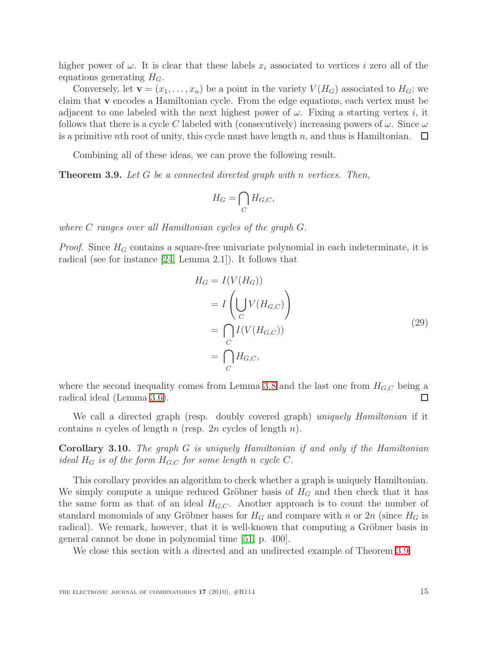higher power of  $\omega$ . It is clear that these labels  $x_i$  associated to vertices i zero all of the equations generating  $H_G$ .

Conversely, let  $\mathbf{v} = (x_1, \ldots, x_n)$  be a point in the variety  $V(H_G)$  associated to  $H_G$ ; we claim that v encodes a Hamiltonian cycle. From the edge equations, each vertex must be adjacent to one labeled with the next highest power of  $\omega$ . Fixing a starting vertex i, it follows that there is a cycle C labeled with (consecutively) increasing powers of  $\omega$ . Since  $\omega$ is a primitive nth root of unity, this cycle must have length  $n$ , and thus is Hamiltonian. □

Combining all of these ideas, we can prove the following result.

<span id="page-14-0"></span>**Theorem 3.9.** Let G be a connected directed graph with n vertices. Then,

$$
H_G = \bigcap_C H_{G,C},
$$

where C ranges over all Hamiltonian cycles of the graph G.

*Proof.* Since  $H_G$  contains a square-free univariate polynomial in each indeterminate, it is radical (see for instance [\[24,](#page-24-2) Lemma 2.1]). It follows that

$$
H_G = I(V(H_G))
$$
  
=  $I\left(\bigcup_C V(H_{G,C})\right)$   
=  $\bigcap_C I(V(H_{G,C}))$   
=  $\bigcap_C H_{G,C},$  (29)

where the second inequality comes from Lemma [3.8](#page-13-0) and the last one from  $H_{G,C}$  being a radical ideal (Lemma [3.6\)](#page-12-0). □

We call a directed graph (resp. doubly covered graph) uniquely Hamiltonian if it contains n cycles of length n (resp.  $2n$  cycles of length n).

Corollary 3.10. The graph G is uniquely Hamiltonian if and only if the Hamiltonian ideal  $H_G$  is of the form  $H_{G,C}$  for some length n cycle C.

This corollary provides an algorithm to check whether a graph is uniquely Hamiltonian. We simply compute a unique reduced Gröbner basis of  $H_G$  and then check that it has the same form as that of an ideal  $H_{G,C}$ . Another approach is to count the number of standard monomials of any Gröbner bases for  $H_G$  and compare with n or  $2n$  (since  $H_G$  is radical). We remark, however, that it is well-known that computing a Gröbner basis in general cannot be done in polynomial time [\[51,](#page-25-10) p. 400].

We close this section with a directed and an undirected example of Theorem [3.9.](#page-14-0)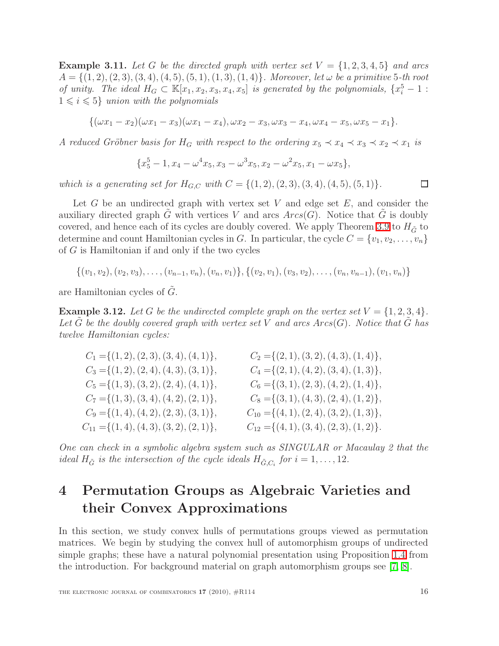**Example 3.11.** Let G be the directed graph with vertex set  $V = \{1, 2, 3, 4, 5\}$  and arcs  $A = \{(1, 2), (2, 3), (3, 4), (4, 5), (5, 1), (1, 3), (1, 4)\}.$  Moreover, let  $\omega$  be a primitive 5-th root of unity. The ideal  $H_G \subset \mathbb{K}[x_1, x_2, x_3, x_4, x_5]$  is generated by the polynomials,  $\{x_i^5 - 1\}$ :  $1 \leq i \leq 5$ } union with the polynomials

$$
\{(\omega x_1 - x_2)(\omega x_1 - x_3)(\omega x_1 - x_4), \omega x_2 - x_3, \omega x_3 - x_4, \omega x_4 - x_5, \omega x_5 - x_1\}.
$$

A reduced Gröbner basis for  $H_G$  with respect to the ordering  $x_5 \prec x_4 \prec x_3 \prec x_2 \prec x_1$  is

$$
\{x_5^5-1, x_4-\omega^4x_5, x_3-\omega^3x_5, x_2-\omega^2x_5, x_1-\omega x_5\},\
$$

which is a generating set for  $H_{G,C}$  with  $C = \{(1,2), (2,3), (3,4), (4,5), (5,1)\}.$ 

Let  $G$  be an undirected graph with vertex set  $V$  and edge set  $E$ , and consider the auxiliary directed graph G with vertices V and arcs  $Arcs(G)$ . Notice that G is doubly covered, and hence each of its cycles are doubly covered. We apply Theorem [3.9](#page-14-0) to  $H_{\tilde{G}}$  to determine and count Hamiltonian cycles in G. In particular, the cycle  $C = \{v_1, v_2, \ldots, v_n\}$ of  $G$  is Hamiltonian if and only if the two cycles

 $\{(v_1, v_2), (v_2, v_3), \ldots, (v_{n-1}, v_n), (v_n, v_1)\}, \{(v_2, v_1), (v_3, v_2), \ldots, (v_n, v_{n-1}), (v_1, v_n)\}$ 

are Hamiltonian cycles of  $\tilde{G}$ .

**Example 3.12.** Let G be the undirected complete graph on the vertex set  $V = \{1, 2, 3, 4\}$ . Let  $\tilde{G}$  be the doubly covered graph with vertex set V and arcs  $Arcs(G)$ . Notice that  $\tilde{G}$  has twelve Hamiltonian cycles:

| $C_1 = \{(1, 2), (2, 3), (3, 4), (4, 1)\},\$ | $C_2 = \{(2, 1), (3, 2), (4, 3), (1, 4)\},\$    |
|----------------------------------------------|-------------------------------------------------|
| $C_3 = \{(1,2), (2,4), (4,3), (3,1)\},\$     | $C_4 = \{(2, 1), (4, 2), (3, 4), (1, 3)\},\$    |
| $C_5 = \{(1,3), (3,2), (2,4), (4,1)\},\$     | $C_6 = \{(3, 1), (2, 3), (4, 2), (1, 4)\},\$    |
| $C_7 = \{(1,3), (3,4), (4,2), (2,1)\},\$     | $C_8 = \{(3, 1), (4, 3), (2, 4), (1, 2)\},\$    |
| $C_9 = \{(1,4), (4,2), (2,3), (3,1)\},\$     | $C_{10} = \{(4, 1), (2, 4), (3, 2), (1, 3)\},\$ |
| $C_{11} = \{(1,4), (4,3), (3,2), (2,1)\},\$  | $C_{12} = \{(4, 1), (3, 4), (2, 3), (1, 2)\}.$  |
|                                              |                                                 |

One can check in a symbolic algebra system such as SINGULAR or Macaulay 2 that the ideal  $H_{\tilde{G}}$  is the intersection of the cycle ideals  $H_{\tilde{G},C_i}$  for  $i=1,\ldots,12$ .

## <span id="page-15-0"></span>4 Permutation Groups as Algebraic Varieties and their Convex Approximations

In this section, we study convex hulls of permutations groups viewed as permutation matrices. We begin by studying the convex hull of automorphism groups of undirected simple graphs; these have a natural polynomial presentation using Proposition [1.4](#page-3-0) from the introduction. For background material on graph automorphism groups see [\[7,](#page-23-11) [8\]](#page-23-12).

 $\Box$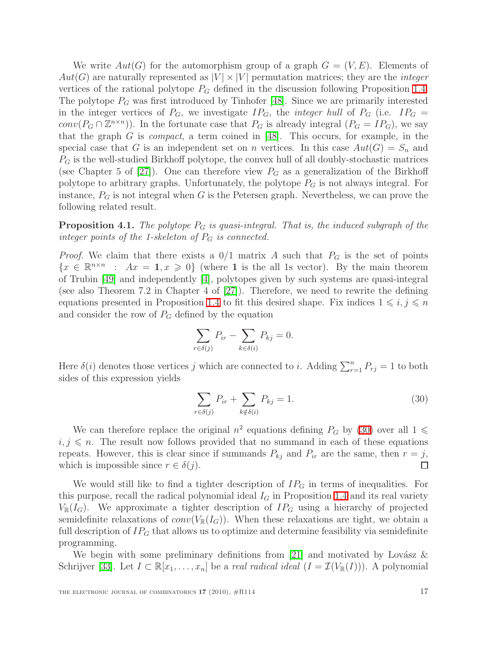We write  $Aut(G)$  for the automorphism group of a graph  $G = (V, E)$ . Elements of  $Aut(G)$  are naturally represented as  $|V| \times |V|$  permutation matrices; they are the *integer* vertices of the rational polytope  $P_G$  defined in the discussion following Proposition [1.4.](#page-3-0) The polytope  $P_G$  was first introduced by Tinhofer [\[48\]](#page-25-9). Since we are primarily interested in the integer vertices of  $P_G$ , we investigate  $IP_G$ , the *integer hull* of  $P_G$  (i.e.  $IP_G$ ) conv $(P_G \cap \mathbb{Z}^{n \times n})$ ). In the fortunate case that  $P_G$  is already integral  $(P_G = IP_G)$ , we say that the graph G is *compact*, a term coined in [\[48\]](#page-25-9). This occurs, for example, in the special case that G is an independent set on n vertices. In this case  $Aut(G) = S_n$  and  $P_G$  is the well-studied Birkhoff polytope, the convex hull of all doubly-stochastic matrices (see Chapter 5 of [\[27\]](#page-24-15)). One can therefore view  $P_G$  as a generalization of the Birkhoff polytope to arbitrary graphs. Unfortunately, the polytope  $P_G$  is not always integral. For instance,  $P_G$  is not integral when G is the Petersen graph. Nevertheless, we can prove the following related result.

**Proposition 4.1.** The polytope  $P_G$  is quasi-integral. That is, the induced subgraph of the integer points of the 1-skeleton of  $P_G$  is connected.

*Proof.* We claim that there exists a  $0/1$  matrix A such that  $P_G$  is the set of points  ${x \in \mathbb{R}^{n \times n} : Ax = 1, x \geq 0}$  (where 1 is the all 1s vector). By the main theorem of Trubin [\[49\]](#page-25-11) and independently [\[4\]](#page-22-3), polytopes given by such systems are quasi-integral (see also Theorem 7.2 in Chapter 4 of [\[27\]](#page-24-15)). Therefore, we need to rewrite the defining equations presented in Proposition [1.4](#page-3-0) to fit this desired shape. Fix indices  $1 \leq i, j \leq n$ and consider the row of  $P_G$  defined by the equation

$$
\sum_{r \in \delta(j)} P_{ir} - \sum_{k \in \delta(i)} P_{kj} = 0.
$$

Here  $\delta(i)$  denotes those vertices j which are connected to i. Adding  $\sum_{r=1}^{n} P_{rj} = 1$  to both sides of this expression yields

<span id="page-16-0"></span>
$$
\sum_{r \in \delta(j)} P_{ir} + \sum_{k \notin \delta(i)} P_{kj} = 1.
$$
\n(30)

We can therefore replace the original  $n^2$  equations defining  $P_G$  by [\(30\)](#page-16-0) over all  $1 \leq$  $i, j \n\t\leq n$ . The result now follows provided that no summand in each of these equations repeats. However, this is clear since if summands  $P_{kj}$  and  $P_{ir}$  are the same, then  $r = j$ , which is impossible since  $r \in \delta(j)$ . □

We would still like to find a tighter description of  $IP<sub>G</sub>$  in terms of inequalities. For this purpose, recall the radical polynomial ideal  $I_G$  in Proposition [1.4](#page-3-0) and its real variety  $V_{\mathbb{R}}(I_G)$ . We approximate a tighter description of  $IP_G$  using a hierarchy of projected semidefinite relaxations of  $conv(V_{\mathbb{R}}(I_G))$ . When these relaxations are tight, we obtain a full description of  $IP_G$  that allows us to optimize and determine feasibility via semidefinite programming.

We begin with some preliminary definitions from [\[21\]](#page-24-16) and motivated by Lovász  $\&$ Schrijver [\[33\]](#page-24-17). Let  $I \subset \mathbb{R}[x_1,\ldots,x_n]$  be a *real radical ideal*  $(I = \mathcal{I}(V_{\mathbb{R}}(I)))$ . A polynomial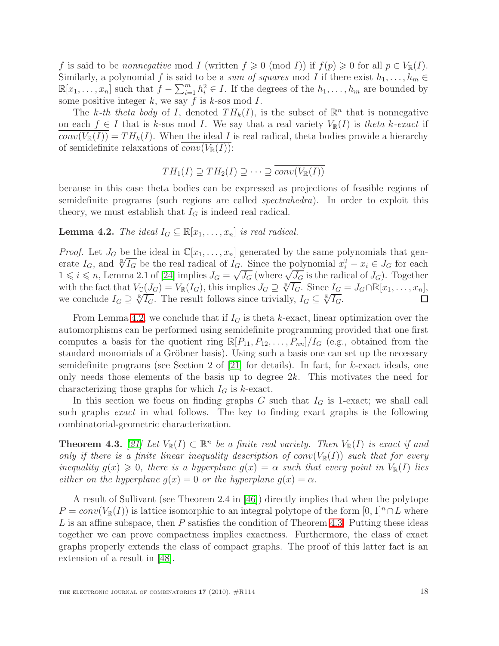f is said to be nonnegative mod I (written  $f \geq 0 \pmod{I}$ ) if  $f(p) \geq 0$  for all  $p \in V_{\mathbb{R}}(I)$ . Similarly, a polynomial f is said to be a sum of squares mod I if there exist  $h_1, \ldots, h_m \in$  $\mathbb{R}[x_1,\ldots,x_n]$  such that  $f-\sum_{i=1}^m h_i^2 \in I$ . If the degrees of the  $h_1,\ldots,h_m$  are bounded by some positive integer  $k$ , we say  $f$  is  $k$ -sos mod  $I$ .

The k-th theta body of I, denoted  $TH_k(I)$ , is the subset of  $\mathbb{R}^n$  that is nonnegative on each  $f \in I$  that is k-sos mod I. We say that a real variety  $V_{\mathbb{R}}(I)$  is theta k-exact if  $conv(V_{\mathbb{R}}(I)) = TH_k(I)$ . When the ideal I is real radical, theta bodies provide a hierarchy of semidefinite relaxations of  $conv(V_{\mathbb{R}}(I))$ :

$$
TH_1(I) \supseteq TH_2(I) \supseteq \cdots \supseteq \overline{conv(V_{\mathbb{R}}(I))}
$$

because in this case theta bodies can be expressed as projections of feasible regions of semidefinite programs (such regions are called spectrahedra). In order to exploit this theory, we must establish that  $I_G$  is indeed real radical.

<span id="page-17-1"></span>**Lemma 4.2.** The ideal  $I_G \subseteq \mathbb{R}[x_1, \ldots, x_n]$  is real radical.

*Proof.* Let  $J_G$  be the ideal in  $\mathbb{C}[x_1, \ldots, x_n]$  generated by the same polynomials that generate  $I_G$ , and  $\sqrt[R]{I_G}$  be the real radical of  $I_G$ . Since the polynomial  $x_i^2 - x_i \in J_G$  for each  $1 \leq i \leq n$ , Lemma 2.1 of [\[24\]](#page-24-2) implies  $J_G = \sqrt{J_G}$  (where  $\sqrt{J_G}$  is the radical of  $J_G$ ). Together with the fact that  $V_{\mathbb{C}}(J_G) = V_{\mathbb{R}}(I_G)$ , this implies  $J_G \supseteq \sqrt[\mathbb{R}]{I_G}$ . Since  $I_G = J_G \cap \mathbb{R}[x_1, \ldots, x_n]$ , we conclude  $I_G \supseteq \sqrt[R]{I_G}$ . The result follows since trivially,  $I_G \subseteq \sqrt[R]{I_G}$ .

From Lemma [4.2,](#page-17-1) we conclude that if  $I_G$  is theta k-exact, linear optimization over the automorphisms can be performed using semidefinite programming provided that one first computes a basis for the quotient ring  $\mathbb{R}[P_{11}, P_{12}, \ldots, P_{nn}]/I_G$  (e.g., obtained from the standard monomials of a Gröbner basis). Using such a basis one can set up the necessary semidefinite programs (see Section 2 of [\[21\]](#page-24-16) for details). In fact, for k-exact ideals, one only needs those elements of the basis up to degree  $2k$ . This motivates the need for characterizing those graphs for which  $I_G$  is k-exact.

In this section we focus on finding graphs  $G$  such that  $I_G$  is 1-exact; we shall call such graphs exact in what follows. The key to finding exact graphs is the following combinatorial-geometric characterization.

<span id="page-17-2"></span>**Theorem 4.3.** [\[21\]](#page-24-16) Let  $V_{\mathbb{R}}(I) \subset \mathbb{R}^n$  be a finite real variety. Then  $V_{\mathbb{R}}(I)$  is exact if and only if there is a finite linear inequality description of  $conv(V_{\mathbb{R}}(I))$  such that for every inequality  $g(x) \geq 0$ , there is a hyperplane  $g(x) = \alpha$  such that every point in  $V_{\mathbb{R}}(I)$  lies either on the hyperplane  $g(x) = 0$  or the hyperplane  $g(x) = \alpha$ .

<span id="page-17-0"></span>A result of Sullivant (see Theorem 2.4 in [\[46\]](#page-25-12)) directly implies that when the polytope  $P = conv(V_{\mathbb{R}}(I))$  is lattice isomorphic to an integral polytope of the form  $[0, 1]^n \cap L$  where  $L$  is an affine subspace, then  $P$  satisfies the condition of Theorem [4.3.](#page-17-2) Putting these ideas together we can prove compactness implies exactness. Furthermore, the class of exact graphs properly extends the class of compact graphs. The proof of this latter fact is an extension of a result in [\[48\]](#page-25-9).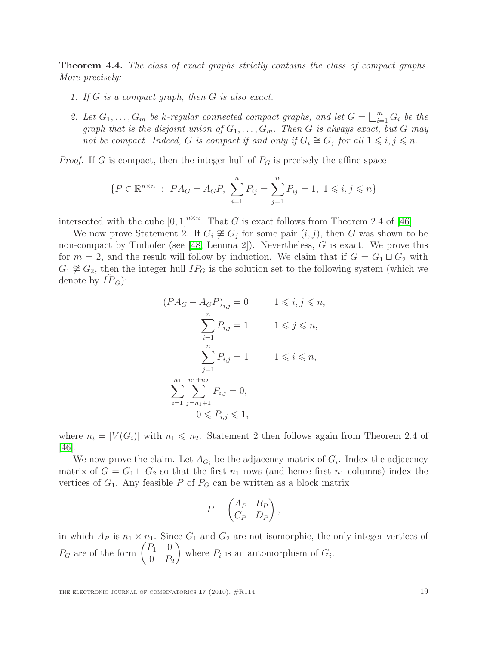Theorem 4.4. The class of exact graphs strictly contains the class of compact graphs. More precisely:

- 1. If G is a compact graph, then G is also exact.
- 2. Let  $G_1, \ldots, G_m$  be k-regular connected compact graphs, and let  $G = \bigsqcup_{i=1}^m G_i$  be the graph that is the disjoint union of  $G_1, \ldots, G_m$ . Then G is always exact, but G may not be compact. Indeed, G is compact if and only if  $G_i \cong G_j$  for all  $1 \leq i, j \leq n$ .

*Proof.* If G is compact, then the integer hull of  $P_G$  is precisely the affine space

$$
\{P \in \mathbb{R}^{n \times n} : PA_G = A_G P, \sum_{i=1}^n P_{ij} = \sum_{j=1}^n P_{ij} = 1, 1 \le i, j \le n\}
$$

intersected with the cube  $[0,1]^{n \times n}$ . That G is exact follows from Theorem 2.4 of [\[46\]](#page-25-12).

We now prove Statement 2. If  $G_i \not\cong G_j$  for some pair  $(i, j)$ , then G was shown to be non-compact by Tinhofer (see [\[48,](#page-25-9) Lemma 2]). Nevertheless, G is exact. We prove this for  $m = 2$ , and the result will follow by induction. We claim that if  $G = G_1 \sqcup G_2$  with  $G_1 \not\cong G_2$ , then the integer hull  $IP_G$  is the solution set to the following system (which we denote by  $IP_G$ :

$$
(PA_G - A_G P)_{i,j} = 0 \t 1 \leq i, j \leq n,
$$
  

$$
\sum_{i=1}^n P_{i,j} = 1 \t 1 \leq j \leq n,
$$
  

$$
\sum_{j=1}^n P_{i,j} = 1 \t 1 \leq i \leq n,
$$
  

$$
\sum_{i=1}^{n_1} \sum_{j=n_1+1}^{n_1+n_2} P_{i,j} = 0,
$$
  

$$
0 \leq P_{i,j} \leq 1,
$$

where  $n_i = |V(G_i)|$  with  $n_1 \leq n_2$ . Statement 2 then follows again from Theorem 2.4 of [\[46\]](#page-25-12).

We now prove the claim. Let  $A_{G_i}$  be the adjacency matrix of  $G_i$ . Index the adjacency matrix of  $G = G_1 \sqcup G_2$  so that the first  $n_1$  rows (and hence first  $n_1$  columns) index the vertices of  $G_1$ . Any feasible P of  $P_G$  can be written as a block matrix

$$
P = \begin{pmatrix} A_P & B_P \\ C_P & D_P \end{pmatrix},
$$

in which  $A_P$  is  $n_1 \times n_1$ . Since  $G_1$  and  $G_2$  are not isomorphic, the only integer vertices of  $P_G$  are of the form  $\begin{pmatrix} P_1 & 0 \\ 0 & P_1 \end{pmatrix}$  $0$   $P_2$  $\setminus$ where  $P_i$  is an automorphism of  $G_i$ .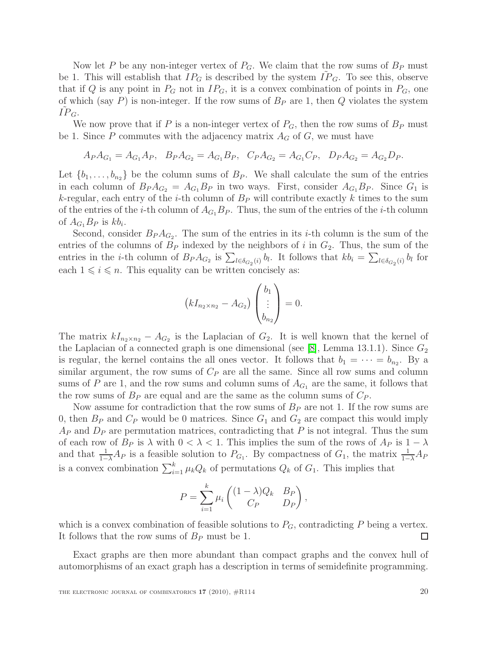Now let P be any non-integer vertex of  $P_G$ . We claim that the row sums of  $B_P$  must be 1. This will establish that  $IP_G$  is described by the system  $IP_G$ . To see this, observe that if Q is any point in  $P_G$  not in  $IP_G$ , it is a convex combination of points in  $P_G$ , one of which (say  $P$ ) is non-integer. If the row sums of  $B<sub>P</sub>$  are 1, then  $Q$  violates the system  $IP_G$ .

We now prove that if P is a non-integer vertex of  $P_G$ , then the row sums of  $B_P$  must be 1. Since P commutes with the adjacency matrix  $A_G$  of G, we must have

$$
A_P A_{G_1} = A_{G_1} A_P, \quad B_P A_{G_2} = A_{G_1} B_P, \quad C_P A_{G_2} = A_{G_1} C_P, \quad D_P A_{G_2} = A_{G_2} D_P.
$$

Let  $\{b_1, \ldots, b_{n_2}\}$  be the column sums of  $B_P$ . We shall calculate the sum of the entries in each column of  $B_P A_{G_2} = A_{G_1} B_P$  in two ways. First, consider  $A_{G_1} B_P$ . Since  $G_1$  is k-regular, each entry of the *i*-th column of  $B<sub>P</sub>$  will contribute exactly k times to the sum of the entries of the *i*-th column of  $A_{G_1}B_P$ . Thus, the sum of the entries of the *i*-th column of  $A_{G_1}B_P$  is  $kb_i$ .

Second, consider  $B_P A_{G_2}$ . The sum of the entries in its *i*-th column is the sum of the entries of the columns of  $B_P$  indexed by the neighbors of i in  $G_2$ . Thus, the sum of the entries in the *i*-th column of  $B_P A_{G_2}$  is  $\sum_{l \in \delta_{G_2}(i)} b_l$ . It follows that  $kb_i = \sum_{l \in \delta_{G_2}(i)} b_l$  for each  $1 \leq i \leq n$ . This equality can be written concisely as:

$$
(kI_{n_2 \times n_2} - A_{G_2})\begin{pmatrix} b_1 \\ \vdots \\ b_{n_2} \end{pmatrix} = 0.
$$

The matrix  $kI_{n_2\times n_2} - A_{G_2}$  is the Laplacian of  $G_2$ . It is well known that the kernel of the Laplacian of a connected graph is one dimensional (see [\[8\]](#page-23-12), Lemma 13.1.1). Since  $G_2$ is regular, the kernel contains the all ones vector. It follows that  $b_1 = \cdots = b_{n_2}$ . By a similar argument, the row sums of  $C_P$  are all the same. Since all row sums and column sums of P are 1, and the row sums and column sums of  $A_{G_1}$  are the same, it follows that the row sums of  $B<sub>P</sub>$  are equal and are the same as the column sums of  $C<sub>P</sub>$ .

Now assume for contradiction that the row sums of  $B<sub>P</sub>$  are not 1. If the row sums are 0, then  $B_P$  and  $C_P$  would be 0 matrices. Since  $G_1$  and  $G_2$  are compact this would imply  $A_P$  and  $D_P$  are permutation matrices, contradicting that P is not integral. Thus the sum of each row of  $B_P$  is  $\lambda$  with  $0 < \lambda < 1$ . This implies the sum of the rows of  $A_P$  is  $1 - \lambda$ and that  $\frac{1}{1-\lambda}A_P$  is a feasible solution to  $P_{G_1}$ . By compactness of  $G_1$ , the matrix  $\frac{1}{1-\lambda}A_P$ is a convex combination  $\sum_{i=1}^{k} \mu_k Q_k$  of permutations  $Q_k$  of  $G_1$ . This implies that

$$
P = \sum_{i=1}^{k} \mu_i \begin{pmatrix} (1 - \lambda)Q_k & B_P \\ C_P & D_P \end{pmatrix},
$$

which is a convex combination of feasible solutions to  $P_G$ , contradicting P being a vertex. It follows that the row sums of  $B_P$  must be 1. □

Exact graphs are then more abundant than compact graphs and the convex hull of automorphisms of an exact graph has a description in terms of semidefinite programming.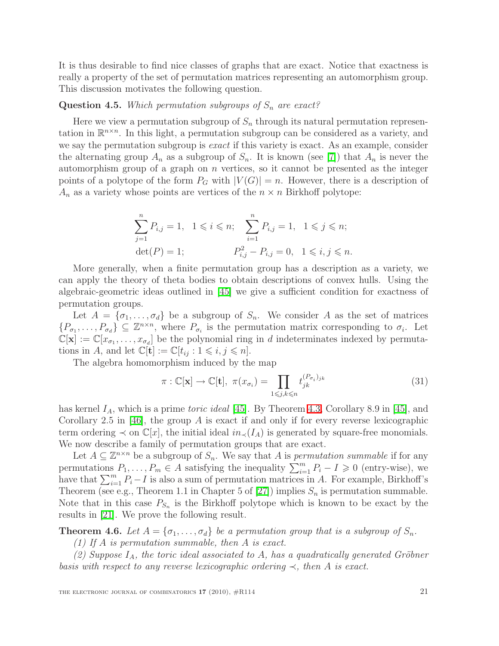It is thus desirable to find nice classes of graphs that are exact. Notice that exactness is really a property of the set of permutation matrices representing an automorphism group. This discussion motivates the following question.

#### **Question 4.5.** Which permutation subgroups of  $S_n$  are exact?

Here we view a permutation subgroup of  $S_n$  through its natural permutation representation in  $\mathbb{R}^{n \times n}$ . In this light, a permutation subgroup can be considered as a variety, and we say the permutation subgroup is *exact* if this variety is exact. As an example, consider the alternating group  $A_n$  as a subgroup of  $S_n$ . It is known (see [\[7\]](#page-23-11)) that  $A_n$  is never the automorphism group of a graph on  $n$  vertices, so it cannot be presented as the integer points of a polytope of the form  $P_G$  with  $|V(G)| = n$ . However, there is a description of  $A_n$  as a variety whose points are vertices of the  $n \times n$  Birkhoff polytope:

$$
\sum_{j=1}^{n} P_{i,j} = 1, \quad 1 \leq i \leq n; \quad \sum_{i=1}^{n} P_{i,j} = 1, \quad 1 \leq j \leq n; \n\det(P) = 1; \qquad P_{i,j}^{2} - P_{i,j} = 0, \quad 1 \leq i, j \leq n.
$$

More generally, when a finite permutation group has a description as a variety, we can apply the theory of theta bodies to obtain descriptions of convex hulls. Using the algebraic-geometric ideas outlined in [\[45\]](#page-25-13) we give a sufficient condition for exactness of permutation groups.

Let  $A = {\sigma_1, \ldots, \sigma_d}$  be a subgroup of  $S_n$ . We consider A as the set of matrices  $\{P_{\sigma_1},\ldots,P_{\sigma_d}\}\subseteq\mathbb{Z}^{n\times n}$ , where  $P_{\sigma_i}$  is the permutation matrix corresponding to  $\sigma_i$ . Let  $\mathbb{C}[\mathbf{x}] := \mathbb{C}[x_{\sigma_1}, \ldots, x_{\sigma_d}]$  be the polynomial ring in d indeterminates indexed by permutations in A, and let  $\mathbb{C}[\mathbf{t}] := \mathbb{C}[t_{ij} : 1 \leq i, j \leq n].$ 

<span id="page-20-1"></span>The algebra homomorphism induced by the map

$$
\pi: \mathbb{C}[\mathbf{x}] \to \mathbb{C}[\mathbf{t}], \ \pi(x_{\sigma_i}) = \prod_{1 \leq j,k \leq n} t_{jk}^{(P_{\sigma_i})_{jk}} \tag{31}
$$

has kernel  $I_A$ , which is a prime *toric ideal* [\[45\]](#page-25-13). By Theorem [4.3,](#page-17-2) Corollary 8.9 in [\[45\]](#page-25-13), and Corollary 2.5 in [\[46\]](#page-25-12), the group A is exact if and only if for every reverse lexicographic term ordering  $\prec$  on  $\mathbb{C}[x]$ , the initial ideal  $in_{\prec}(I_A)$  is generated by square-free monomials. We now describe a family of permutation groups that are exact.

Let  $A \subseteq \mathbb{Z}^{n \times n}$  be a subgroup of  $S_n$ . We say that A is *permutation summable* if for any permutations  $P_1, \ldots, P_m \in A$  satisfying the inequality  $\sum_{i=1}^m P_i - I \geq 0$  (entry-wise), we have that  $\sum_{i=1}^{m} P_i - I$  is also a sum of permutation matrices in A. For example, Birkhoff's Theorem (see e.g., Theorem 1.1 in Chapter 5 of [\[27\]](#page-24-15)) implies  $S_n$  is permutation summable. Note that in this case  $P_{S_n}$  is the Birkhoff polytope which is known to be exact by the results in [\[21\]](#page-24-16). We prove the following result.

<span id="page-20-0"></span>**Theorem 4.6.** Let  $A = {\sigma_1, \ldots, \sigma_d}$  be a permutation group that is a subgroup of  $S_n$ .

(1) If A is permutation summable, then A is exact.

(2) Suppose  $I_A$ , the toric ideal associated to A, has a quadratically generated Gröbner basis with respect to any reverse lexicographic ordering  $\prec$ , then A is exact.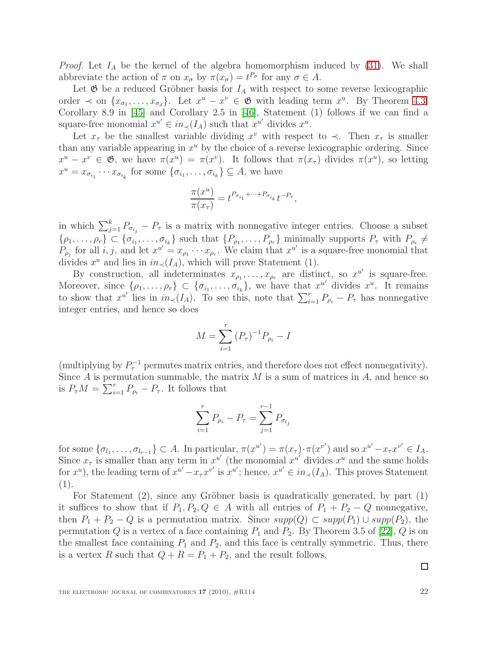*Proof.* Let  $I_A$  be the kernel of the algebra homomorphism induced by  $(31)$ . We shall abbreviate the action of  $\pi$  on  $x_{\sigma}$  by  $\pi(x_{\sigma}) = t^{P_{\sigma}}$  for any  $\sigma \in A$ .

Let  $\mathfrak G$  be a reduced Gröbner basis for  $I_A$  with respect to some reverse lexicographic order  $\prec$  on  $\{x_{\sigma_1}, \ldots, x_{\sigma_d}\}$ . Let  $x^u - x^v \in \mathfrak{G}$  with leading term  $x^u$ . By Theorem [4.3,](#page-17-2) Corollary 8.9 in [\[45\]](#page-25-13) and Corollary 2.5 in [\[46\]](#page-25-12), Statement (1) follows if we can find a square-free monomial  $x^{u'} \in in_{\prec}(I_A)$  such that  $x^{u'}$  divides  $x^u$ .

Let  $x_{\tau}$  be the smallest variable dividing  $x^v$  with respect to  $\prec$ . Then  $x_{\tau}$  is smaller than any variable appearing in  $x^u$  by the choice of a reverse lexicographic ordering. Since  $x^u - x^v \in \mathfrak{G}$ , we have  $\pi(x^u) = \pi(x^v)$ . It follows that  $\pi(x_\tau)$  divides  $\pi(x^u)$ , so letting  $x^u = x_{\sigma_{i_1}} \cdots x_{\sigma_{i_k}}$  for some  $\{\sigma_{i_1}, \ldots, \sigma_{i_k}\} \subseteq A$ , we have

$$
\frac{\pi(x^u)}{\pi(x_\tau)} = t^{P_{\sigma_{i_1}} + \dots + P_{\sigma_{i_k}}} t^{-P_\tau},
$$

in which  $\sum_{j=1}^{k} P_{\sigma_{i_j}} - P_{\tau}$  is a matrix with nonnegative integer entries. Choose a subset  $\{\rho_1,\ldots,\rho_r\}\subset\{\sigma_{i_1},\ldots,\sigma_{i_k}\}\$  such that  $\{P_{\rho_1},\ldots,P_{\rho_r}\}\$  minimally supports  $P_{\tau}$  with  $P_{\rho_i}\neq\emptyset$  $P_{\rho_j}$  for all *i*, *j*, and let  $x^{u'} = x_{\rho_1} \cdots x_{\rho_r}$ . We claim that  $x^{u'}$  is a square-free monomial that divides  $x^u$  and lies in  $in_{\prec}(I_A)$ , which will prove Statement (1).

By construction, all indeterminates  $x_{\rho_1}, \ldots, x_{\rho_r}$  are distinct, so  $x^{u'}$  is square-free. Moreover, since  $\{\rho_1,\ldots,\rho_r\}\subset \{\sigma_{i_1},\ldots,\sigma_{i_k}\}\$ , we have that  $x^{u'}$  divides  $x^u$ . It remains to show that  $x^{u'}$  lies in  $in_{\prec}(I_A)$ . To see this, note that  $\sum_{i=1}^r P_{\rho_i} - P_{\tau}$  has nonnegative integer entries, and hence so does

$$
M = \sum_{i=1}^{r} (P_{\tau})^{-1} P_{\rho_i} - I
$$

(multiplying by  $P_{\tau}^{-1}$  permutes matrix entries, and therefore does not effect nonnegativity). Since  $A$  is permutation summable, the matrix  $M$  is a sum of matrices in  $A$ , and hence so is  $P_{\tau}M = \sum_{i=1}^r P_{\rho_i} - P_{\tau}$ . It follows that

$$
\sum_{i=1}^{r} P_{\rho_i} - P_{\tau} = \sum_{j=1}^{r-1} P_{\sigma_{l_j}}
$$

for some  $\{\sigma_{l_1},\ldots,\sigma_{l_{r-1}}\}\subset A$ . In particular,  $\pi(x^{u'}) = \pi(x_\tau) \cdot \pi(x^{v'})$  and so  $x^{u'} - x_\tau x^{v'} \in I_A$ . Since  $x_{\tau}$  is smaller than any term in  $x^{u'}$  (the monomial  $x^{u'}$  divides  $x^u$  and the same holds for  $x^u$ , the leading term of  $x^{u'} - x_\tau x^{v'}$  is  $x^{u'}$ ; hence,  $x^{u'} \in in_\prec (I_A)$ . This proves Statement (1).

For Statement  $(2)$ , since any Gröbner basis is quadratically generated, by part  $(1)$ it suffices to show that if  $P_1, P_2, Q \in A$  with all entries of  $P_1 + P_2 - Q$  nonnegative, then  $P_1 + P_2 - Q$  is a permutation matrix. Since  $supp(Q) \subset supp(P_1) \cup supp(P_2)$ , the permutation  $Q$  is a vertex of a face containing  $P_1$  and  $P_2$ . By Theorem 3.5 of [\[22\]](#page-24-18),  $Q$  is on the smallest face containing  $P_1$  and  $P_2$ , and this face is centrally symmetric. Thus, there is a vertex R such that  $Q + R = P_1 + P_2$ , and the result follows.

◻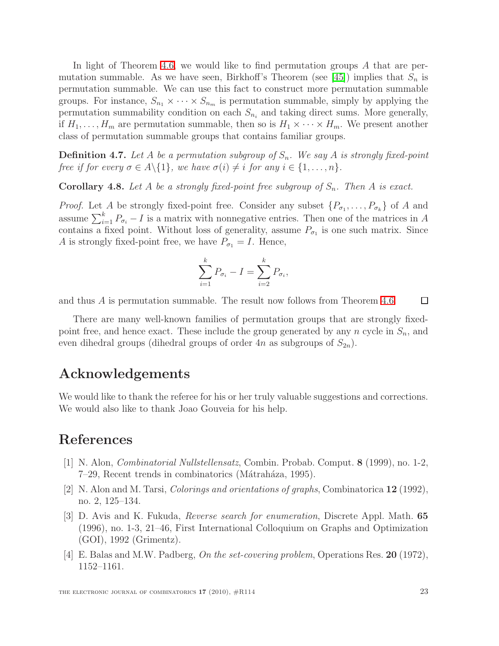In light of Theorem [4.6,](#page-20-0) we would like to find permutation groups A that are per-mutation summable. As we have seen, Birkhoff's Theorem (see [\[45\]](#page-25-13)) implies that  $S_n$  is permutation summable. We can use this fact to construct more permutation summable groups. For instance,  $S_{n_1} \times \cdots \times S_{n_m}$  is permutation summable, simply by applying the permutation summability condition on each  $S_{n_i}$  and taking direct sums. More generally, if  $H_1, \ldots, H_m$  are permutation summable, then so is  $H_1 \times \cdots \times H_m$ . We present another class of permutation summable groups that contains familiar groups.

**Definition 4.7.** Let A be a permutation subgroup of  $S_n$ . We say A is strongly fixed-point free if for every  $\sigma \in A \setminus \{1\}$ , we have  $\sigma(i) \neq i$  for any  $i \in \{1, \ldots, n\}$ .

**Corollary 4.8.** Let A be a strongly fixed-point free subgroup of  $S_n$ . Then A is exact.

*Proof.* Let A be strongly fixed-point free. Consider any subset  $\{P_{\sigma_1}, \ldots, P_{\sigma_k}\}\$  of A and assume  $\sum_{i=1}^{k} P_{\sigma_i} - I$  is a matrix with nonnegative entries. Then one of the matrices in A contains a fixed point. Without loss of generality, assume  $P_{\sigma_1}$  is one such matrix. Since A is strongly fixed-point free, we have  $P_{\sigma_1} = I$ . Hence,

$$
\sum_{i=1}^{k} P_{\sigma_i} - I = \sum_{i=2}^{k} P_{\sigma_i},
$$

and thus A is permutation summable. The result now follows from Theorem [4.6.](#page-20-0)  $\Box$ 

There are many well-known families of permutation groups that are strongly fixedpoint free, and hence exact. These include the group generated by any n cycle in  $S_n$ , and even dihedral groups (dihedral groups of order  $4n$  as subgroups of  $S_{2n}$ ).

#### Acknowledgements

We would like to thank the referee for his or her truly valuable suggestions and corrections. We would also like to thank Joao Gouveia for his help.

### <span id="page-22-0"></span>References

- [1] N. Alon, Combinatorial Nullstellensatz, Combin. Probab. Comput. 8 (1999), no. 1-2, 7–29, Recent trends in combinatorics (Mátraháza, 1995).
- <span id="page-22-1"></span>[2] N. Alon and M. Tarsi, Colorings and orientations of graphs, Combinatorica 12 (1992), no. 2, 125–134.
- <span id="page-22-2"></span>[3] D. Avis and K. Fukuda, Reverse search for enumeration, Discrete Appl. Math. 65 (1996), no. 1-3, 21–46, First International Colloquium on Graphs and Optimization (GOI), 1992 (Grimentz).
- <span id="page-22-3"></span>[4] E. Balas and M.W. Padberg, On the set-covering problem, Operations Res. 20 (1972), 1152–1161.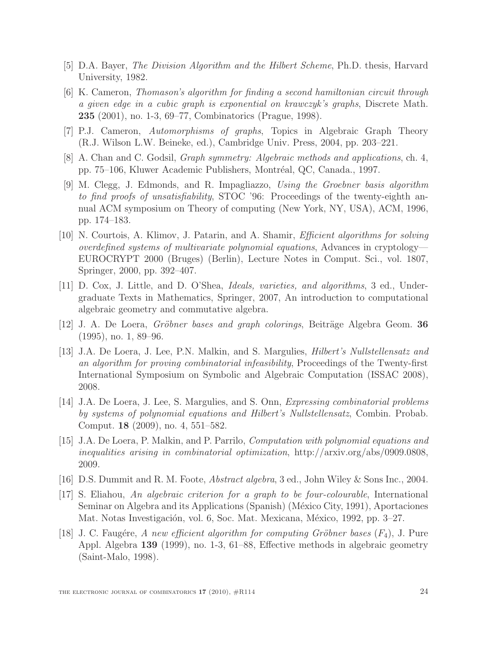- <span id="page-23-10"></span><span id="page-23-3"></span>[5] D.A. Bayer, The Division Algorithm and the Hilbert Scheme, Ph.D. thesis, Harvard University, 1982.
- [6] K. Cameron, Thomason's algorithm for finding a second hamiltonian circuit through a given edge in a cubic graph is exponential on krawczyk's graphs, Discrete Math. 235 (2001), no. 1-3, 69–77, Combinatorics (Prague, 1998).
- <span id="page-23-12"></span><span id="page-23-11"></span>[7] P.J. Cameron, Automorphisms of graphs, Topics in Algebraic Graph Theory (R.J. Wilson L.W. Beineke, ed.), Cambridge Univ. Press, 2004, pp. 203–221.
- <span id="page-23-8"></span>[8] A. Chan and C. Godsil, Graph symmetry: Algebraic methods and applications, ch. 4, pp. 75–106, Kluwer Academic Publishers, Montréal, QC, Canada., 1997.
- [9] M. Clegg, J. Edmonds, and R. Impagliazzo, Using the Groebner basis algorithm to find proofs of unsatisfiability, STOC '96: Proceedings of the twenty-eighth annual ACM symposium on Theory of computing (New York, NY, USA), ACM, 1996, pp. 174–183.
- <span id="page-23-9"></span>[10] N. Courtois, A. Klimov, J. Patarin, and A. Shamir, Efficient algorithms for solving overdefined systems of multivariate polynomial equations, Advances in cryptology— EUROCRYPT 2000 (Bruges) (Berlin), Lecture Notes in Comput. Sci., vol. 1807, Springer, 2000, pp. 392–407.
- <span id="page-23-4"></span>[11] D. Cox, J. Little, and D. O'Shea, Ideals, varieties, and algorithms, 3 ed., Undergraduate Texts in Mathematics, Springer, 2007, An introduction to computational algebraic geometry and commutative algebra.
- <span id="page-23-1"></span><span id="page-23-0"></span>[12] J. A. De Loera, *Gröbner bases and graph colorings*, Beiträge Algebra Geom. **36** (1995), no. 1, 89–96.
- [13] J.A. De Loera, J. Lee, P.N. Malkin, and S. Margulies, Hilbert's Nullstellensatz and an algorithm for proving combinatorial infeasibility, Proceedings of the Twenty-first International Symposium on Symbolic and Algebraic Computation (ISSAC 2008), 2008.
- <span id="page-23-6"></span>[14] J.A. De Loera, J. Lee, S. Margulies, and S. Onn, Expressing combinatorial problems by systems of polynomial equations and Hilbert's Nullstellensatz, Combin. Probab. Comput. 18 (2009), no. 4, 551–582.
- <span id="page-23-5"></span>[15] J.A. De Loera, P. Malkin, and P. Parrilo, Computation with polynomial equations and inequalities arising in combinatorial optimization, http://arxiv.org/abs/0909.0808, 2009.
- <span id="page-23-13"></span><span id="page-23-2"></span>[16] D.S. Dummit and R. M. Foote, Abstract algebra, 3 ed., John Wiley & Sons Inc., 2004.
- [17] S. Eliahou, An algebraic criterion for a graph to be four-colourable, International Seminar on Algebra and its Applications (Spanish) (México City, 1991), Aportaciones Mat. Notas Investigación, vol. 6, Soc. Mat. Mexicana, México, 1992, pp. 3–27.
- <span id="page-23-7"></span>[18] J. C. Faugére, A new efficient algorithm for computing Gröbner bases  $(F_4)$ , J. Pure Appl. Algebra 139 (1999), no. 1-3, 61–88, Effective methods in algebraic geometry (Saint-Malo, 1998).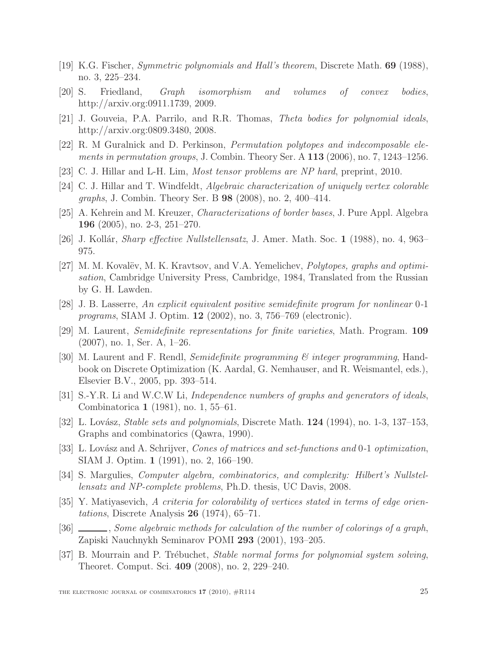- <span id="page-24-14"></span><span id="page-24-0"></span>[19] K.G. Fischer, Symmetric polynomials and Hall's theorem, Discrete Math. 69 (1988), no. 3, 225–234.
- <span id="page-24-16"></span>[20] S. Friedland, Graph isomorphism and volumes of convex bodies, http://arxiv.org:0911.1739, 2009.
- <span id="page-24-18"></span>[21] J. Gouveia, P.A. Parrilo, and R.R. Thomas, Theta bodies for polynomial ideals, http://arxiv.org:0809.3480, 2008.
- <span id="page-24-1"></span>[22] R. M Guralnick and D. Perkinson, Permutation polytopes and indecomposable elements in permutation groups, J. Combin. Theory Ser. A 113 (2006), no. 7, 1243–1256.
- <span id="page-24-2"></span>[23] C. J. Hillar and L-H. Lim, Most tensor problems are NP hard, preprint, 2010.
- [24] C. J. Hillar and T. Windfeldt, Algebraic characterization of uniquely vertex colorable graphs, J. Combin. Theory Ser. B 98 (2008), no. 2, 400–414.
- <span id="page-24-9"></span><span id="page-24-8"></span>[25] A. Kehrein and M. Kreuzer, *Characterizations of border bases*, J. Pure Appl. Algebra 196 (2005), no. 2-3, 251–270.
- <span id="page-24-15"></span>[26] J. Kollár, *Sharp effective Nullstellensatz*, J. Amer. Math. Soc. 1 (1988), no. 4, 963– 975.
- [27] M. M. Kovalëv, M. K. Kravtsov, and V.A. Yemelichev, *Polytopes, graphs and optimi*sation, Cambridge University Press, Cambridge, 1984, Translated from the Russian by G. H. Lawden.
- <span id="page-24-12"></span>[28] J. B. Lasserre, An explicit equivalent positive semidefinite program for nonlinear 0-1 programs, SIAM J. Optim. 12 (2002), no. 3, 756–769 (electronic).
- <span id="page-24-13"></span>[29] M. Laurent, Semidefinite representations for finite varieties, Math. Program. 109 (2007), no. 1, Ser. A, 1–26.
- <span id="page-24-11"></span>[30] M. Laurent and F. Rendl, Semidefinite programming & integer programming, Handbook on Discrete Optimization (K. Aardal, G. Nemhauser, and R. Weismantel, eds.), Elsevier B.V., 2005, pp. 393–514.
- <span id="page-24-4"></span><span id="page-24-3"></span>[31] S.-Y.R. Li and W.C.W Li, Independence numbers of graphs and generators of ideals, Combinatorica 1 (1981), no. 1, 55–61.
- [32] L. Lovász, *Stable sets and polynomials*, Discrete Math.  $124$  (1994), no. 1-3, 137–153, Graphs and combinatorics (Qawra, 1990).
- <span id="page-24-17"></span>[33] L. Lovász and A. Schrijver, Cones of matrices and set-functions and 0-1 optimization, SIAM J. Optim. 1 (1991), no. 2, 166–190.
- <span id="page-24-7"></span><span id="page-24-5"></span>[34] S. Margulies, Computer algebra, combinatorics, and complexity: Hilbert's Nullstellensatz and NP-complete problems, Ph.D. thesis, UC Davis, 2008.
- [35] Y. Matiyasevich, A criteria for colorability of vertices stated in terms of edge orientations, Discrete Analysis  $26$  (1974), 65–71.
- <span id="page-24-6"></span>[36] Some algebraic methods for calculation of the number of colorings of a graph, Zapiski Nauchnykh Seminarov POMI 293 (2001), 193–205.
- <span id="page-24-10"></span>[37] B. Mourrain and P. Trébuchet, *Stable normal forms for polynomial system solving*, Theoret. Comput. Sci. 409 (2008), no. 2, 229–240.